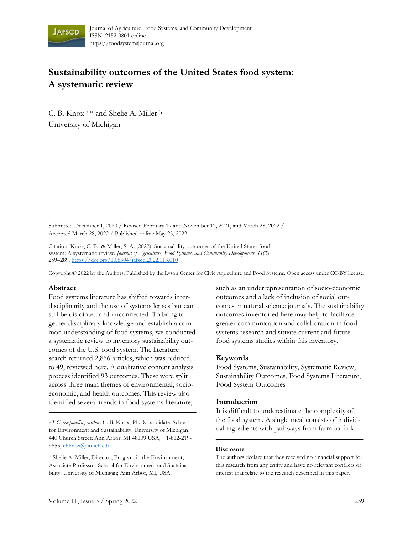

# **Sustainability outcomes of the United States food system: A systematic review**

C. B. Knox <sup>a</sup>\* and Shelie A. Miller <sup>b</sup> University of Michigan

Submitted December 1, 2020 / Revised February 19 and November 12, 2021, and March 28, 2022 / Accepted March 28, 2022 / Published online May 25, 2022

Citation: Knox, C. B., & Miller, S. A. (2022). Sustainability outcomes of the United States food system: A systematic review. *Journal of Agriculture, Food Systems, and Community Development, 11*(3), 259–289. https://[doi.org/10.5304/jafscd.2022.113.010](https://doi.org/10.5304/jafscd.2022.113.010)

Copyright © 2022 by the Authors. Published by the Lyson Center for Civic Agriculture and Food Systems. Open access under CC-BY license.

#### **Abstract**

Food systems literature has shifted towards interdisciplinarity and the use of systems lenses but can still be disjointed and unconnected. To bring together disciplinary knowledge and establish a common understanding of food systems, we conducted a systematic review to inventory sustainability outcomes of the U.S. food system. The literature search returned 2,866 articles, which was reduced to 49, reviewed here. A qualitative content analysis process identified 93 outcomes. These were split across three main themes of environmental, socioeconomic, and health outcomes. This review also identified several trends in food systems literature,

<sup>a</sup> \* *Corresponding author:* C. B. Knox, Ph.D. candidate, School for Environment and Sustainability, University of Michigan; 440 Church Street; Ann Arbor, MI 48109 USA; +1-812-219- 9653[; cbknox@umich.edu](mailto:cbknox@umich.edu)

<sup>b</sup> Shelie A. Miller, Director, Program in the Environment; Associate Professor, School for Environment and Sustainability, University of Michigan; Ann Arbor, MI, USA.

such as an underrepresentation of socio-economic outcomes and a lack of inclusion of social outcomes in natural science journals. The sustainability outcomes inventoried here may help to facilitate greater communication and collaboration in food systems research and situate current and future food systems studies within this inventory.

#### **Keywords**

Food Systems, Sustainability, Systematic Review, Sustainability Outcomes, Food Systems Literature, Food System Outcomes

#### **Introduction**

It is difficult to underestimate the complexity of the food system. A single meal consists of individual ingredients with pathways from farm to fork

#### **Disclosure**

The authors declare that they received no financial support for this research from any entity and have no relevant conflicts of interest that relate to the research described in this paper.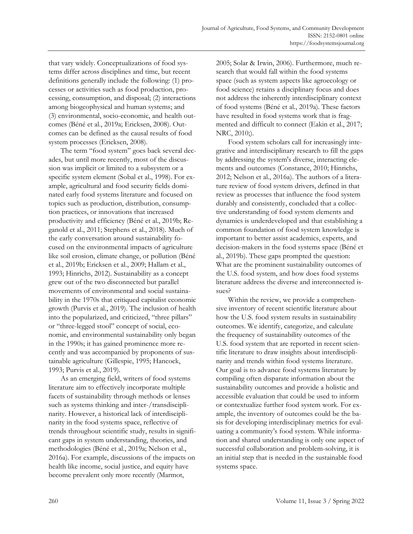that vary widely. Conceptualizations of food systems differ across disciplines and time, but recent definitions generally include the following: (1) processes or activities such as food production, processing, consumption, and disposal; (2) interactions among biogeophysical and human systems; and (3) environmental, socio-economic, and health outcomes (Béné et al., 2019a; Ericksen, 2008). Outcomes can be defined as the causal results of food system processes (Ericksen, 2008).

The term "food system" goes back several decades, but until more recently, most of the discussion was implicit or limited to a subsystem or a specific system element (Sobal et al., 1998). For example, agricultural and food security fields dominated early food systems literature and focused on topics such as production, distribution, consumption practices, or innovations that increased productivity and efficiency (Béné et al., 2019b; Reganold et al., 2011; Stephens et al., 2018). Much of the early conversation around sustainability focused on the environmental impacts of agriculture like soil erosion, climate change, or pollution (Béné et al., 2019b; Ericksen et al., 2009; Hallam et al., 1993; Hinrichs, 2012). Sustainability as a concept grew out of the two disconnected but parallel movements of environmental and social sustainability in the 1970s that critiqued capitalist economic growth (Purvis et al., 2019). The inclusion of health into the popularized, and criticized, "three pillars" or "three-legged stool" concept of social, economic, and environmental sustainability only began in the 1990s; it has gained prominence more recently and was accompanied by proponents of sustainable agriculture (Gillespie, 1995; Hancock, 1993; Purvis et al., 2019).

As an emerging field, writers of food systems literature aim to effectively incorporate multiple facets of sustainability through methods or lenses such as systems thinking and inter-/transdisciplinarity. However, a historical lack of interdisciplinarity in the food systems space, reflective of trends throughout scientific study, results in significant gaps in system understanding, theories, and methodologies (Béné et al., 2019a; Nelson et al., 2016a). For example, discussions of the impacts on health like income, social justice, and equity have become prevalent only more recently (Marmot,

2005; Solar & Irwin, 2006). Furthermore, much research that would fall within the food systems space (such as system aspects like agroecology or food science) retains a disciplinary focus and does not address the inherently interdisciplinary context of food systems (Béné et al., 2019a). These factors have resulted in food systems work that is fragmented and difficult to connect (Eakin et al., 2017; NRC, 2010;).

Food system scholars call for increasingly integrative and interdisciplinary research to fill the gaps by addressing the system's diverse, interacting elements and outcomes (Constance, 2010; Hinrichs, 2012; Nelson et al., 2016a). The authors of a literature review of food system drivers, defined in that review as processes that influence the food system durably and consistently, concluded that a collective understanding of food system elements and dynamics is underdeveloped and that establishing a common foundation of food system knowledge is important to better assist academics, experts, and decision-makers in the food systems space (Béné et al., 2019b). These gaps prompted the question: What are the prominent sustainability outcomes of the U.S. food system, and how does food systems literature address the diverse and interconnected issues?

Within the review, we provide a comprehensive inventory of recent scientific literature about how the U.S. food system results in sustainability outcomes. We identify, categorize, and calculate the frequency of sustainability outcomes of the U.S. food system that are reported in recent scientific literature to draw insights about interdisciplinarity and trends within food systems literature. Our goal is to advance food systems literature by compiling often disparate information about the sustainability outcomes and provide a holistic and accessible evaluation that could be used to inform or contextualize further food system work. For example, the inventory of outcomes could be the basis for developing interdisciplinary metrics for evaluating a community's food system. While information and shared understanding is only one aspect of successful collaboration and problem-solving, it is an initial step that is needed in the sustainable food systems space.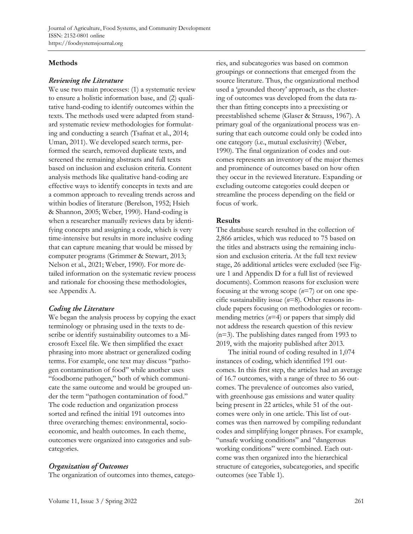## **Methods**

### Reviewing the Literature

We use two main processes: (1) a systematic review to ensure a holistic information base, and (2) qualitative hand-coding to identify outcomes within the texts. The methods used were adapted from standard systematic review methodologies for formulating and conducting a search (Tsafnat et al., 2014; Uman, 2011). We developed search terms, performed the search, removed duplicate texts, and screened the remaining abstracts and full texts based on inclusion and exclusion criteria. Content analysis methods like qualitative hand-coding are effective ways to identify concepts in texts and are a common approach to revealing trends across and within bodies of literature (Berelson, 1952; Hsieh & Shannon, 2005; Weber, 1990). Hand-coding is when a researcher manually reviews data by identifying concepts and assigning a code, which is very time-intensive but results in more inclusive coding that can capture meaning that would be missed by computer programs (Grimmer & Stewart, 2013; Nelson et al., 2021; Weber, 1990). For more detailed information on the systematic review process and rationale for choosing these methodologies, see Appendix A.

# **Coding the Literature**

We began the analysis process by copying the exact terminology or phrasing used in the texts to describe or identify sustainability outcomes to a Microsoft Excel file. We then simplified the exact phrasing into more abstract or generalized coding terms. For example, one text may discuss "pathogen contamination of food" while another uses "foodborne pathogen," both of which communicate the same outcome and would be grouped under the term "pathogen contamination of food." The code reduction and organization process sorted and refined the initial 191 outcomes into three overarching themes: environmental, socioeconomic, and health outcomes. In each theme, outcomes were organized into categories and subcategories.

# **Organization of Outcomes**

The organization of outcomes into themes, catego-

ries, and subcategories was based on common groupings or connections that emerged from the source literature. Thus, the organizational method used a 'grounded theory' approach, as the clustering of outcomes was developed from the data rather than fitting concepts into a preexisting or preestablished scheme (Glaser & Strauss, 1967). A primary goal of the organizational process was ensuring that each outcome could only be coded into one category (i.e., mutual exclusivity) (Weber, 1990). The final organization of codes and outcomes represents an inventory of the major themes and prominence of outcomes based on how often they occur in the reviewed literature. Expanding or excluding outcome categories could deepen or streamline the process depending on the field or focus of work.

### **Results**

The database search resulted in the collection of 2,866 articles, which was reduced to 75 based on the titles and abstracts using the remaining inclusion and exclusion criteria. At the full text review stage, 26 additional articles were excluded (see Figure 1 and Appendix D for a full list of reviewed documents). Common reasons for exclusion were focusing at the wrong scope (*n*=7) or on one specific sustainability issue (*n*=8). Other reasons include papers focusing on methodologies or recommending metrics (*n*=4) or papers that simply did not address the research question of this review (n=3). The publishing dates ranged from 1993 to 2019, with the majority published after 2013.

The initial round of coding resulted in 1,074 instances of coding, which identified 191 outcomes. In this first step, the articles had an average of 16.7 outcomes, with a range of three to 56 outcomes. The prevalence of outcomes also varied, with greenhouse gas emissions and water quality being present in 22 articles, while 51 of the outcomes were only in one article. This list of outcomes was then narrowed by compiling redundant codes and simplifying longer phrases. For example, "unsafe working conditions" and "dangerous working conditions" were combined. Each outcome was then organized into the hierarchical structure of categories, subcategories, and specific outcomes (see Table 1).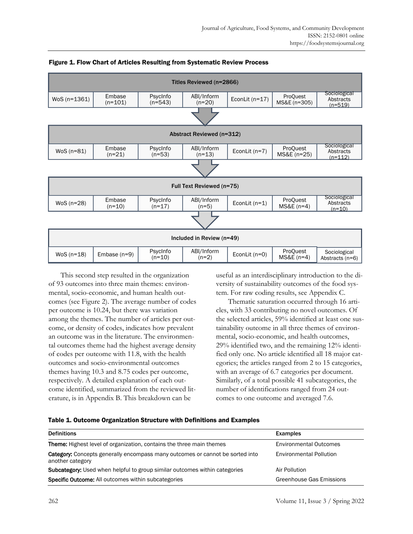

#### Figure 1. Flow Chart of Articles Resulting from Systematic Review Process

This second step resulted in the organization of 93 outcomes into three main themes: environmental, socio-economic, and human health outcomes (see Figure 2). The average number of codes per outcome is 10.24, but there was variation among the themes. The number of articles per outcome, or density of codes, indicates how prevalent an outcome was in the literature. The environmental outcomes theme had the highest average density of codes per outcome with 11.8, with the health outcomes and socio-environmental outcomes themes having 10.3 and 8.75 codes per outcome, respectively. A detailed explanation of each outcome identified, summarized from the reviewed literature, is in Appendix B. This breakdown can be

useful as an interdisciplinary introduction to the diversity of sustainability outcomes of the food system. For raw coding results, see Appendix C.

Thematic saturation occurred through 16 articles, with 33 contributing no novel outcomes. Of the selected articles, 59% identified at least one sustainability outcome in all three themes of environmental, socio-economic, and health outcomes, 29% identified two, and the remaining 12% identified only one. No article identified all 18 major categories; the articles ranged from 2 to 15 categories, with an average of 6.7 categories per document. Similarly, of a total possible 41 subcategories, the number of identifications ranged from 24 outcomes to one outcome and averaged 7.6.

| Table 1. Outcome Organization Structure with Definitions and Examples |  |  |
|-----------------------------------------------------------------------|--|--|
|                                                                       |  |  |

| <b>Definitions</b>                                                                                       | <b>Examples</b>                |
|----------------------------------------------------------------------------------------------------------|--------------------------------|
| <b>Theme:</b> Highest level of organization, contains the three main themes                              | <b>Environmental Outcomes</b>  |
| <b>Category:</b> Concepts generally encompass many outcomes or cannot be sorted into<br>another category | <b>Environmental Pollution</b> |
| <b>Subcategory:</b> Used when helpful to group similar outcomes within categories                        | Air Pollution                  |
| <b>Specific Outcome:</b> All outcomes within subcategories                                               | Greenhouse Gas Emissions       |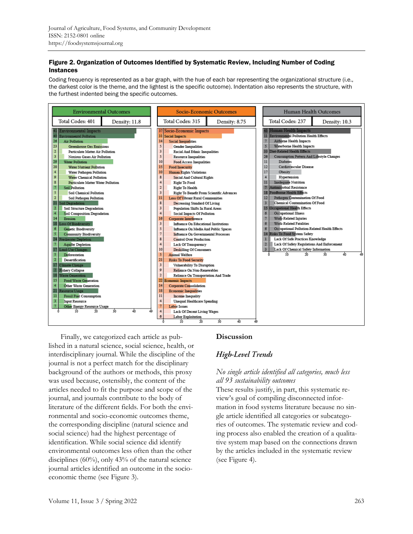#### Figure 2. Organization of Outcomes Identified by Systematic Review, Including Number of Coding Instances

Coding frequency is represented as a bar graph, with the hue of each bar representing the organizational structure (i.e., the darkest color is the theme, and the lightest is the specific outcome). Indentation also represents the structure, with the furthest indented being the specific outcomes.



Finally, we categorized each article as published in a natural science, social science, health, or interdisciplinary journal. While the discipline of the journal is not a perfect match for the disciplinary background of the authors or methods, this proxy was used because, ostensibly, the content of the articles needed to fit the purpose and scope of the journal, and journals contribute to the body of literature of the different fields. For both the environmental and socio-economic outcomes theme, the corresponding discipline (natural science and social science) had the highest percentage of identification. While social science did identify environmental outcomes less often than the other disciplines  $(60\%)$ , only 43% of the natural science journal articles identified an outcome in the socioeconomic theme (see Figure 3).

# **Discussion**

# **High-Level Trends**

# *No single article identified all categories, much less all 93 sustainability outcomes*

These results justify, in part, this systematic review's goal of compiling disconnected information in food systems literature because no single article identified all categories or subcategories of outcomes. The systematic review and coding process also enabled the creation of a qualitative system map based on the connections drawn by the articles included in the systematic review (see Figure 4).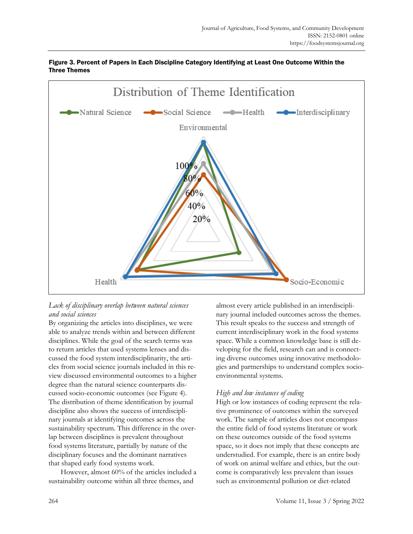

#### Figure 3. Percent of Papers in Each Discipline Category Identifying at Least One Outcome Within the Three Themes

# *Lack of disciplinary overlap between natural sciences and social sciences*

By organizing the articles into disciplines, we were able to analyze trends within and between different disciplines. While the goal of the search terms was to return articles that used systems lenses and discussed the food system interdisciplinarity, the articles from social science journals included in this review discussed environmental outcomes to a higher degree than the natural science counterparts discussed socio-economic outcomes (see Figure 4). The distribution of theme identification by journal discipline also shows the success of interdisciplinary journals at identifying outcomes across the sustainability spectrum. This difference in the overlap between disciplines is prevalent throughout food systems literature, partially by nature of the disciplinary focuses and the dominant narratives that shaped early food systems work.

However, almost 60% of the articles included a sustainability outcome within all three themes, and

almost every article published in an interdisciplinary journal included outcomes across the themes. This result speaks to the success and strength of current interdisciplinary work in the food systems space. While a common knowledge base is still developing for the field, research can and is connecting diverse outcomes using innovative methodologies and partnerships to understand complex socioenvironmental systems.

# *High and low instances of coding*

High or low instances of coding represent the relative prominence of outcomes within the surveyed work. The sample of articles does not encompass the entire field of food systems literature or work on these outcomes outside of the food systems space, so it does not imply that these concepts are understudied. For example, there is an entire body of work on animal welfare and ethics, but the outcome is comparatively less prevalent than issues such as environmental pollution or diet-related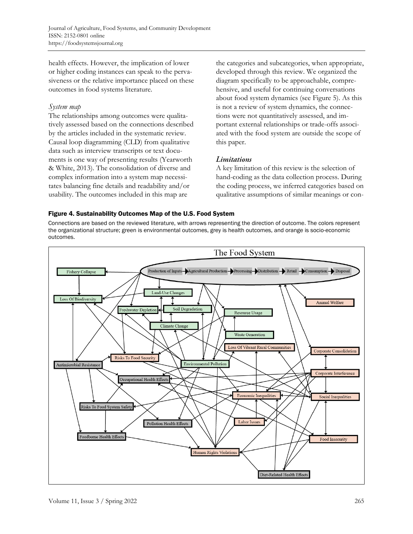health effects. However, the implication of lower or higher coding instances can speak to the pervasiveness or the relative importance placed on these outcomes in food systems literature.

### *System map*

The relationships among outcomes were qualitatively assessed based on the connections described by the articles included in the systematic review. Causal loop diagramming (CLD) from qualitative data such as interview transcripts or text documents is one way of presenting results (Yearworth & White, 2013). The consolidation of diverse and complex information into a system map necessitates balancing fine details and readability and/or usability. The outcomes included in this map are

the categories and subcategories, when appropriate, developed through this review. We organized the diagram specifically to be approachable, comprehensive, and useful for continuing conversations about food system dynamics (see Figure 5). As this is not a review of system dynamics, the connections were not quantitatively assessed, and important external relationships or trade-offs associated with the food system are outside the scope of this paper.

# Limitations

A key limitation of this review is the selection of hand-coding as the data collection process. During the coding process, we inferred categories based on qualitative assumptions of similar meanings or con-

### Figure 4. Sustainability Outcomes Map of the U.S. Food System

Connections are based on the reviewed literature, with arrows representing the direction of outcome. The colors represent the organizational structure; green is environmental outcomes, grey is health outcomes, and orange is socio-economic outcomes.

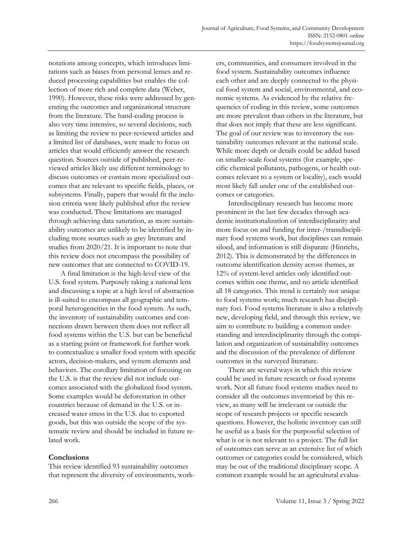notations among concepts, which introduces limitations such as biases from personal lenses and reduced processing capabilities but enables the collection of more rich and complete data (Weber, 1990). However, these risks were addressed by generating the outcomes and organizational structure from the literature. The hand-coding process is also very time intensive, so several decisions, such as limiting the review to peer-reviewed articles and a limited list of databases, were made to focus on articles that would efficiently answer the research question. Sources outside of published, peer-reviewed articles likely use different terminology to discuss outcomes or contain more specialized outcomes that are relevant to specific fields, places, or subsystems. Finally, papers that would fit the inclusion criteria were likely published after the review was conducted. These limitations are managed through achieving data saturation, as more sustainability outcomes are unlikely to be identified by including more sources such as grey literature and studies from 2020/21. It is important to note that this review does not encompass the possibility of new outcomes that are connected to COVID-19.

A final limitation is the high-level view of the U.S. food system. Purposely taking a national lens and discussing a topic at a high level of abstraction is ill-suited to encompass all geographic and temporal heterogeneities in the food system. As such, the inventory of sustainability outcomes and connections drawn between them does not reflect all food systems within the U.S. but can be beneficial as a starting point or framework for further work to contextualize a smaller food system with specific actors, decision-makers, and system elements and behaviors. The corollary limitation of focusing on the U.S. is that the review did not include outcomes associated with the globalized food system. Some examples would be deforestation in other countries because of demand in the U.S. or increased water stress in the U.S. due to exported goods, but this was outside the scope of the systematic review and should be included in future related work.

### **Conclusions**

This review identified 93 sustainability outcomes that represent the diversity of environments, work-

ers, communities, and consumers involved in the food system. Sustainability outcomes influence each other and are deeply connected to the physical food system and social, environmental, and economic systems. As evidenced by the relative frequencies of coding in this review, some outcomes are more prevalent than others in the literature, but that does not imply that these are less significant. The goal of our review was to inventory the sustainability outcomes relevant at the national scale. While more depth or details could be added based on smaller-scale food systems (for example, specific chemical pollutants, pathogens, or health outcomes relevant to a system or locality), each would most likely fall under one of the established outcomes or categories.

Interdisciplinary research has become more prominent in the last few decades through academic institutionalization of interdisciplinarity and more focus on and funding for inter-/transdisciplinary food systems work, but disciplines can remain siloed, and information is still disparate (Hinrichs, 2012). This is demonstrated by the differences in outcome identification density across themes, as 12% of system-level articles only identified outcomes within one theme, and no article identified all 18 categories. This trend is certainly not unique to food systems work; much research has disciplinary foci. Food systems literature is also a relatively new, developing field, and through this review, we aim to contribute to building a common understanding and interdisciplinarity through the compilation and organization of sustainability outcomes and the discussion of the prevalence of different outcomes in the surveyed literature.

There are several ways in which this review could be used in future research or food systems work. Not all future food systems studies need to consider all the outcomes inventoried by this review, as many will be irrelevant or outside the scope of research projects or specific research questions. However, the holistic inventory can still be useful as a basis for the purposeful selection of what is or is not relevant to a project. The full list of outcomes can serve as an extensive list of which outcomes or categories could be considered, which may be out of the traditional disciplinary scope. A common example would be an agricultural evalua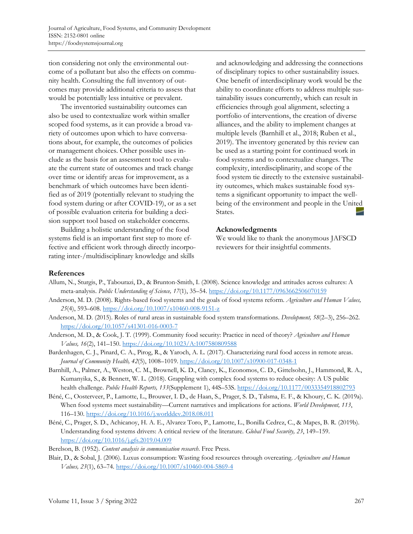tion considering not only the environmental outcome of a pollutant but also the effects on community health. Consulting the full inventory of outcomes may provide additional criteria to assess that would be potentially less intuitive or prevalent.

The inventoried sustainability outcomes can also be used to contextualize work within smaller scoped food systems, as it can provide a broad variety of outcomes upon which to have conversations about, for example, the outcomes of policies or management choices. Other possible uses include as the basis for an assessment tool to evaluate the current state of outcomes and track change over time or identify areas for improvement, as a benchmark of which outcomes have been identified as of 2019 (potentially relevant to studying the food system during or after COVID-19), or as a set of possible evaluation criteria for building a decision support tool based on stakeholder concerns.

Building a holistic understanding of the food systems field is an important first step to more effective and efficient work through directly incorporating inter-/multidisciplinary knowledge and skills

and acknowledging and addressing the connections of disciplinary topics to other sustainability issues. One benefit of interdisciplinary work would be the ability to coordinate efforts to address multiple sustainability issues concurrently, which can result in efficiencies through goal alignment, selecting a portfolio of interventions, the creation of diverse alliances, and the ability to implement changes at multiple levels (Barnhill et al., 2018; Ruben et al., 2019). The inventory generated by this review can be used as a starting point for continued work in food systems and to contextualize changes. The complexity, interdisciplinarity, and scope of the food system tie directly to the extensive sustainability outcomes, which makes sustainable food systems a significant opportunity to impact the wellbeing of the environment and people in the United States.

#### **Acknowledgments**

We would like to thank the anonymous JAFSCD reviewers for their insightful comments.

#### **References**

- Allum, N., Sturgis, P., Tabourazi, D., & Brunton-Smith, I. (2008). Science knowledge and attitudes across cultures: A meta-analysis. *Public Understanding of Science, 17*(1), 35–54[. https://doi.org/10.1177/0963662506070159](https://doi.org/10.1177/0963662506070159)
- Anderson, M. D. (2008). Rights-based food systems and the goals of food systems reform. *Agriculture and Human Values, 25*(4), 593–608.<https://doi.org/10.1007/s10460-008-9151-z>
- Anderson, M. D. (2015). Roles of rural areas in sustainable food system transformations. *Development, 58*(2–3), 256–262. <https://doi.org/10.1057/s41301-016-0003-7>
- Anderson, M. D., & Cook, J. T. (1999). Community food security: Practice in need of theory? *Agriculture and Human Values, 16*(2), 141–150.<https://doi.org/10.1023/A:1007580809588>
- Bardenhagen, C. J., Pinard, C. A., Pirog, R., & Yaroch, A. L. (2017). Characterizing rural food access in remote areas. *Journal of Community Health, 42*(5), 1008–1019.<https://doi.org/10.1007/s10900-017-0348-1>
- Barnhill, A., Palmer, A., Weston, C. M., Brownell, K. D., Clancy, K., Economos, C. D., Gittelsohn, J., Hammond, R. A., Kumanyika, S., & Bennett, W. L. (2018). Grappling with complex food systems to reduce obesity: A US public health challenge. *Public Health Reports, 133*(Supplement 1), 44S–53S.<https://doi.org/10.1177/0033354918802793>
- Béné, C., Oosterveer, P., Lamotte, L., Brouwer, I. D., de Haan, S., Prager, S. D., Talsma, E. F., & Khoury, C. K. (2019a). When food systems meet sustainability—Current narratives and implications for actions. *World Development, 113*, 116–130.<https://doi.org/10.1016/j.worlddev.2018.08.011>
- Béné, C., Prager, S. D., Achicanoy, H. A. E., Alvarez Toro, P., Lamotte, L., Bonilla Cedrez, C., & Mapes, B. R. (2019b). Understanding food systems drivers: A critical review of the literature. *Global Food Security, 23*, 149–159. <https://doi.org/10.1016/j.gfs.2019.04.009>
- Berelson, B. (1952). *Content analysis in communication research*. Free Press.
- Blair, D., & Sobal, J. (2006). Luxus consumption: Wasting food resources through overeating. *Agriculture and Human Values, 23*(1), 63–74.<https://doi.org/10.1007/s10460-004-5869-4>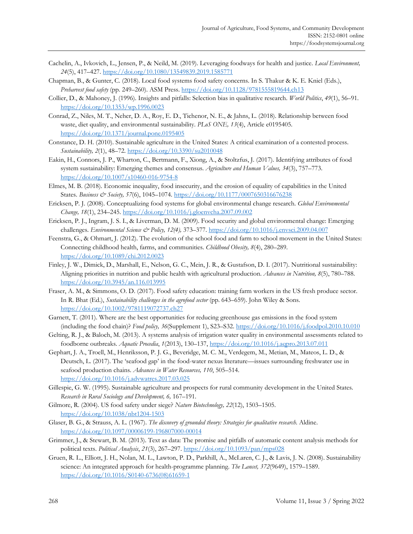- Cachelin, A., Ivkovich, L., Jensen, P., & Neild, M. (2019). Leveraging foodways for health and justice. *Local Environment, 24*(5), 417–427.<https://doi.org/10.1080/13549839.2019.1585771>
- Chapman, B., & Gunter, C. (2018). Local food systems food safety concerns. In S. Thakur & K. E. Kniel (Eds.), *Preharvest food safety* (pp. 249–260). ASM Press.<https://doi.org/10.1128/9781555819644.ch13>
- Collier, D., & Mahoney, J. (1996). Insights and pitfalls: Selection bias in qualitative research. *World Politics*, *49*(1), 56–91. <https://doi.org/10.1353/wp.1996.0023>
- Conrad, Z., Niles, M. T., Neher, D. A., Roy, E. D., Tichenor, N. E., & Jahns, L. (2018). Relationship between food waste, diet quality, and environmental sustainability. *PLoS ONE, 13*(4), Article e0195405. <https://doi.org/10.1371/journal.pone.0195405>
- Constance, D. H. (2010). Sustainable agriculture in the United States: A critical examination of a contested process. *Sustainability, 2*(1), 48–72.<https://doi.org/10.3390/su2010048>
- Eakin, H., Connors, J. P., Wharton, C., Bertmann, F., Xiong, A., & Stoltzfus, J. (2017). Identifying attributes of food system sustainability: Emerging themes and consensus. *Agriculture and Human Values, 34*(3), 757–773. <https://doi.org/10.1007/s10460-016-9754-8>
- Elmes, M. B. (2018). Economic inequality, food insecurity, and the erosion of equality of capabilities in the United States. *Business & Society, 57*(6), 1045–1074.<https://doi.org/10.1177/0007650316676238>
- Ericksen, P. J. (2008). Conceptualizing food systems for global environmental change research. *Global Environmental Change, 18*(1), 234–245.<https://doi.org/10.1016/j.gloenvcha.2007.09.002>
- Ericksen, P. J., Ingram, J. S. I., & Liverman, D. M. (2009). Food security and global environmental change: Emerging challenges. *Environmental Science & Policy, 12(4),* 373–377[. https://doi.org/10.1016/j.envsci.2009.04.007](https://doi.org/10.1016/j.envsci.2009.04.007)
- Feenstra, G., & Ohmart, J. (2012). The evolution of the school food and farm to school movement in the United States: Connecting childhood health, farms, and communities. *Childhood Obesity, 8*(4), 280–289. <https://doi.org/10.1089/chi.2012.0023>
- Finley, J. W., Dimick, D., Marshall, E., Nelson, G. C., Mein, J. R., & Gustafson, D. I. (2017). Nutritional sustainability: Aligning priorities in nutrition and public health with agricultural production. *Advances in Nutrition, 8*(5), 780–788. <https://doi.org/10.3945/an.116.013995>
- Fraser, A. M., & Simmons, O. D. (2017). Food safety education: training farm workers in the US fresh produce sector. In R. Bhat (Ed.), *Sustainability challenges in the agrofood sector* (pp. 643–659). John Wiley & Sons. <https://doi.org/10.1002/9781119072737.ch27>
- Garnett, T. (2011). Where are the best opportunities for reducing greenhouse gas emissions in the food system (including the food chain)? *Food policy, 36*(Supplement 1), S23–S32.<https://doi.org/10.1016/j.foodpol.2010.10.010>
- Gelting, R. J., & Baloch, M. (2013). A systems analysis of irrigation water quality in environmental assessments related to foodborne outbreaks. *Aquatic Procedia*, *1*(2013), 130–137,<https://doi.org/10.1016/j.aqpro.2013.07.011>
- Gephart, J. A., Troell, M., Henriksson, P. J. G., Beveridge, M. C. M., Verdegem, M., Metian, M., Mateos, L. D., & Deutsch, L. (2017). The 'seafood gap' in the food-water nexus literature—issues surrounding freshwater use in seafood production chains. *Advances in Water Resources, 110*, 505–514. <https://doi.org/10.1016/j.advwatres.2017.03.025>
- Gillespie, G. W. (1995). Sustainable agriculture and prospects for rural community development in the United States. *Research in Rural Sociology and Development, 6,* 167–191.
- Gilmore, R. (2004). US food safety under siege? *Nature Biotechnology, 22*(12), 1503–1505. <https://doi.org/10.1038/nbt1204-1503>
- Glaser, B. G., & Strauss, A. L. (1967). *The discovery of grounded theory: Strategies for qualitative research*. Aldine. <https://doi.org/10.1097/00006199-196807000-00014>
- Grimmer, J., & Stewart, B. M. (2013). Text as data: The promise and pitfalls of automatic content analysis methods for political texts. *Political Analysis*, *21*(3), 267–297.<https://doi.org/10.1093/pan/mps028>
- Gruen, R. L., Elliott, J. H., Nolan, M. L., Lawton, P. D., Parkhill, A., McLaren, C. J., & Lavis, J. N. (2008). Sustainability science: An integrated approach for health-programme planning. *The Lancet, 372*(9649), 1579–1589. [https://doi.org/10.1016/S0140-6736\(08\)61659-1](https://doi.org/10.1016/S0140-6736(08)61659-1)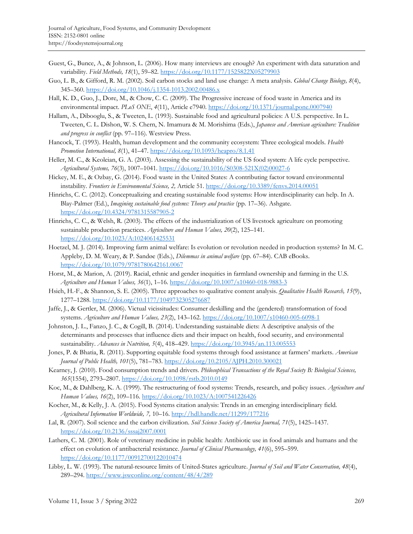- Guest, G., Bunce, A., & Johnson, L. (2006). How many interviews are enough? An experiment with data saturation and variability. *Field Methods, 18*(1), 59–82.<https://doi.org/10.1177/1525822X05279903>
- Guo, L. B., & Gifford, R. M. (2002). Soil carbon stocks and land use change: A meta analysis. *Global Change Biology, 8*(4), 345–360.<https://doi.org/10.1046/j.1354-1013.2002.00486.x>
- Hall, K. D., Guo, J., Dore, M., & Chow, C. C. (2009). The Progressive increase of food waste in America and its environmental impact. *PLoS ONE*, *4*(11), Article e7940.<https://doi.org/10.1371/journal.pone.0007940>
- Hallam, A., Dibooglu, S., & Tweeten, L. (1993). Sustainable food and agricultural policies: A U.S. perspective. In L. Tweeten, C. L. Dishon, W. S. Chern, N. Imamura & M. Morishima (Eds.), *Japanese and American agriculture: Tradition and progress in conflict* (pp. 97–116)*.* Westview Press.
- Hancock, T. (1993). Health, human development and the community ecosystem: Three ecological models. *Health Promotion International, 8*(1), 41–47.<https://doi.org/10.1093/heapro/8.1.41>
- Heller, M. C., & Keoleian, G. A. (2003). Assessing the sustainability of the US food system: A life cycle perspective. *Agricultural Systems, 76*(3), 1007–1041. [https://doi.org/10.1016/S0308-521X\(02\)00027-6](https://doi.org/10.1016/S0308-521X(02)00027-6)
- Hickey, M. E., & Ozbay, G. (2014). Food waste in the United States: A contributing factor toward environmental instability. *Frontiers in Environmental Science, 2,* Article 51.<https://doi.org/10.3389/fenvs.2014.00051>
- Hinrichs, C. C. (2012). Conceptualizing and creating sustainable food systems: How interdisciplinarity can help. In A. Blay-Palmer (Ed.), *Imagining sustainable food systems: Theory and practice* (pp. 17–36). Ashgate. <https://doi.org/10.4324/9781315587905-2>
- Hinrichs, C. C., & Welsh, R. (2003). The effects of the industrialization of US livestock agriculture on promoting sustainable production practices. *Agriculture and Human Values, 20*(2), 125–141. <https://doi.org/10.1023/A:1024061425531>
- Hoetzel, M. J. (2014). Improving farm animal welfare: Is evolution or revolution needed in production systems? In M. C. Appleby, D. M. Weary, & P. Sandøe (Eds.), *Dilemmas in animal welfare* (pp. 67–84). CAB eBooks. <https://doi.org/10.1079/9781780642161.0067>
- Horst, M., & Marion, A. (2019). Racial, ethnic and gender inequities in farmland ownership and farming in the U.S. *Agriculture and Human Values, 36*(1), 1–16.<https://doi.org/10.1007/s10460-018-9883-3>
- Hsieh, H.-F., & Shannon, S. E. (2005). Three approaches to qualitative content analysis. *Qualitative Health Research, 15*(9), 1277–1288.<https://doi.org/10.1177/1049732305276687>
- Jaffe, J., & Gertler, M. (2006). Victual vicissitudes: Consumer deskilling and the (gendered) transformation of food systems. *Agriculture and Human Values, 23*(2), 143–162[. https://doi.org/10.1007/s10460-005-6098-1](https://doi.org/10.1007/s10460-005-6098-1)
- Johnston, J. L., Fanzo, J. C., & Cogill, B. (2014). Understanding sustainable diets: A descriptive analysis of the determinants and processes that influence diets and their impact on health, food security, and environmental sustainability. *Advances in Nutrition, 5*(4), 418–429.<https://doi.org/10.3945/an.113.005553>
- Jones, P. & Bhatia, R. (2011). Supporting equitable food systems through food assistance at farmers' markets. *American Journal of Public Health, 101*(5), 781–783.<https://doi.org/10.2105/AJPH.2010.300021>
- Kearney, J. (2010). Food consumption trends and drivers. *Philosophical Transactions of the Royal Society B: Biological Sciences, 365*(1554), 2793–2807[. https://doi.org/10.1098/rstb.2010.0149](https://doi.org/10.1098/rstb.2010.0149)
- Koc, M., & Dahlberg, K. A. (1999). The restructuring of food systems: Trends, research, and policy issues. *Agriculture and Human Values, 16*(2), 109–116[. https://doi.org/10.1023/A:1007541226426](https://doi.org/10.1023/A:1007541226426)
- Kocher, M., & Kelly, J. A. (2015). Food Systems citation analysis: Trends in an emerging interdisciplinary field. *Agricultural Information Worldwide, 7,* 10–16.<http://hdl.handle.net/11299/177216>
- Lal, R. (2007). Soil science and the carbon civilization. *Soil Science Society of America Journal, 71*(5), 1425–1437. <https://doi.org/10.2136/sssaj2007.0001>
- Lathers, C. M. (2001). Role of veterinary medicine in public health: Antibiotic use in food animals and humans and the effect on evolution of antibacterial resistance. *Journal of Clinical Pharmacology, 41*(6), 595–599. <https://doi.org/10.1177/00912700122010474>
- Libby, L. W. (1993). The natural-resource limits of United-States agriculture. *Journal of Soil and Water Conservation, 48*(4), 289–294.<https://www.jswconline.org/content/48/4/289>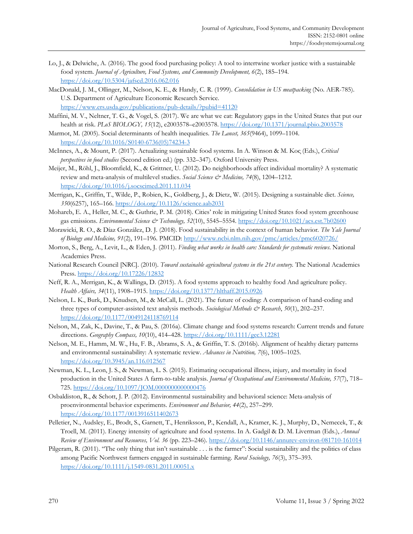- Lo, J., & Delwiche, A. (2016). The good food purchasing policy: A tool to intertwine worker justice with a sustainable food system. *Journal of Agriculture, Food Systems, and Community Development, 6*(2), 185–194. <https://doi.org/10.5304/jafscd.2016.062.016>
- MacDonald, J. M., Ollinger, M., Nelson, K. E., & Handy, C. R. (1999). *Consolidation in US meatpacking* (No. AER-785). U.S. Department of Agriculture Economic Research Service*.* <https://www.ers.usda.gov/publications/pub-details/?pubid=41120>
- Maffini, M. V., Neltner, T. G., & Vogel, S. (2017). We are what we eat: Regulatory gaps in the United States that put our health at risk. *PLoS BIOLOGY, 15*(12), e2003578–e2003578.<https://doi.org/10.1371/journal.pbio.2003578>
- Marmot, M. (2005). Social determinants of health inequalities. *The Lancet, 365*(9464), 1099–1104. [https://doi.org/10.1016/S0140-6736\(05\)74234-3](https://doi.org/10.1016/S0140-6736(05)74234-3)
- McInnes, A., & Mount, P. (2017). Actualizing sustainable food systems. In A. Winson & M. Koc̦(Eds.), *Critical perspectives in food studies* (Second edition ed.) (pp. 332–347). Oxford University Press.
- Meijer, M., Röhl, J., Bloomfield, K., & Grittner, U. (2012). Do neighborhoods affect individual mortality? A systematic review and meta-analysis of multilevel studies. *Social Science & Medicine*, 74(8), 1204-1212. <https://doi.org/10.1016/j.socscimed.2011.11.034>
- Merrigan, K., Griffin, T., Wilde, P., Robien, K., Goldberg, J., & Dietz, W. (2015). Designing a sustainable diet. *Science, 350*(6257), 165–166.<https://doi.org/10.1126/science.aab2031>
- Mohareb, E. A., Heller, M. C., & Guthrie, P. M. (2018). Cities' role in mitigating United States food system greenhouse gas emissions. *Environmental Science & Technology, 52*(10), 5545–5554.<https://doi.org/10.1021/acs.est.7b02600>
- Morawicki, R. O., & Díaz González, D. J. (2018). Food sustainability in the context of human behavior. *The Yale Journal of Biology and Medicine, 91*(2), 191–196. PMCID:<http://www.ncbi.nlm.nih.gov/pmc/articles/pmc6020726/>
- Morton, S., Berg, A., Levit, L., & Eden, J. (2011). *Finding what works in health care: Standards for systematic reviews*. National Academies Press.
- National Research Council [NRC]. (2010). *Toward sustainable agricultural systems in the 21st century.* The National Academics Press.<https://doi.org/10.17226/12832>
- Neff, R. A., Merrigan, K., & Wallinga, D. (2015). A food systems approach to healthy food And agriculture policy. *Health Affairs, 34*(11), 1908–1915.<https://doi.org/10.1377/hlthaff.2015.0926>
- Nelson, L. K., Burk, D., Knudsen, M., & McCall, L. (2021). The future of coding: A comparison of hand-coding and three types of computer-assisted text analysis methods. *Sociological Methods & Research*, *50*(1), 202–237. <https://doi.org/10.1177/0049124118769114>
- Nelson, M., Zak, K., Davine, T., & Pau, S. (2016a). Climate change and food systems research: Current trends and future directions. *Geography Compass, 10*(10), 414–428.<https://doi.org/10.1111/gec3.12281>
- Nelson, M. E., Hamm, M. W., Hu, F. B., Abrams, S. A., & Griffin, T. S. (2016b). Alignment of healthy dietary patterns and environmental sustainability: A systematic review. *Advances in Nutrition, 7*(6), 1005–1025. <https://doi.org/10.3945/an.116.012567>
- Newman, K. L., Leon, J. S., & Newman, L. S. (2015). Estimating occupational illness, injury, and mortality in food production in the United States A farm-to-table analysis. *Journal of Occupational and Environmental Medicine, 57*(7), 718– 725[. https://doi.org/10.1097/JOM.0000000000000476](https://doi.org/10.1097/JOM.0000000000000476)
- Osbaldiston, R., & Schott, J. P. (2012). Environmental sustainability and behavioral science: Meta-analysis of proenvironmental behavior experiments. *Environment and Behavior, 44*(2), 257–299. <https://doi.org/10.1177/0013916511402673>
- Pelletier, N., Audsley, E., Brodt, S., Garnett, T., Henriksson, P., Kendall, A., Kramer, K. J., Murphy, D., Nemecek, T., & Troell, M. (2011). Energy intensity of agriculture and food systems. In A. Gadgil & D. M. Liverman (Eds.), *Annual Review of Environment and Resources, Vol. 36* (pp. 223–246).<https://doi.org/10.1146/annurev-environ-081710-161014>
- Pilgeram, R. (2011). "The only thing that isn't sustainable . . . is the farmer": Social sustainability and the politics of class among Pacific Northwest farmers engaged in sustainable farming. *Rural Sociology, 76*(3), 375–393. <https://doi.org/10.1111/j.1549-0831.2011.00051.x>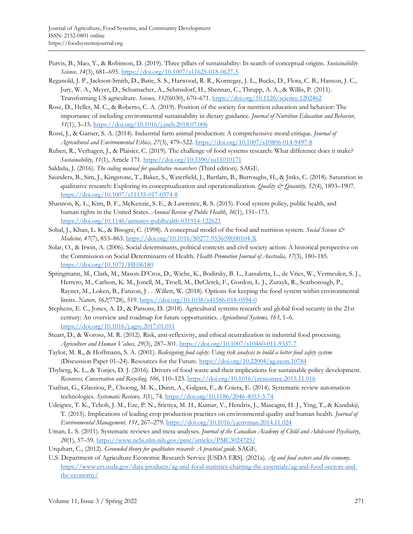- Purvis, B., Mao, Y., & Robinson, D. (2019). Three pillars of sustainability: In search of conceptual origins. *Sustainability Science, 14*(3), 681–695.<https://doi.org/10.1007/s11625-018-0627-5>
- Reganold, J. P., Jackson-Smith, D., Batie, S. S., Harwood, R. R., Kornegay, J. L., Bucks, D., Flora, C. B., Hanson, J. C., Jury, W. A., Meyer, D., Schumacher, A., Sehmsdorf, H., Shennan, C., Thrupp, A. A., & Willis, P. (2011). Transforming US agriculture. *Science, 332*(6030), 670–671[. https://doi.org/10.1126/science.1202462](https://doi.org/10.1126/science.1202462)
- Rose, D., Heller, M. C., & Roberto, C. A. (2019). Position of the society for nutrition education and behavior: The importance of including environmental sustainability in dietary guidance. *Journal of Nutrition Education and Behavior, 51*(1), 3–15.<https://doi.org/10.1016/j.jneb.2018.07.006>
- Rossi, J., & Garner, S. A. (2014). Industrial farm animal production: A comprehensive moral critique. *Journal of Agricultural and Environmental Ethics, 27*(3), 479–522[. https://doi.org/10.1007/s10806-014-9497-8](https://doi.org/10.1007/s10806-014-9497-8)
- Ruben, R., Verhagen, J., & Plaisier, C. (2019). The challenge of food systems research: What difference does it make? *Sustainability, 11*(1), Article 171[. https://doi.org/10.3390/su11010171](https://doi.org/10.3390/su11010171)
- Saldaña, J. (2016). *The coding manual for qualitative researchers* (Third edition). SAGE.
- Saunders, B., Sim, J., Kingstone, T., Baker, S., Waterfield, J., Bartlam, B., Burroughs, H., & Jinks, C. (2018). Saturation in qualitative research: Exploring its conceptualization and operationalization. *Quality & Quantity, 52*(4), 1893–1907. <https://doi.org/10.1007/s11135-017-0574-8>
- Shannon, K. L., Kim, B. F., McKenzie, S. E., & Lawrence, R. S. (2015). Food system policy, public health, and human rights in the United States. *Annual Review of Public Health*, *36*(1), 151–173. <https://doi.org/10.1146/annurev-publhealth-031914-122621>
- Sobal, J., Khan, L. K., & Bisogni, C. (1998). A conceptual model of the food and nutrition system. *Social Science & Medicine, 47*(7), 853–863. [https://doi.org/10.1016/S0277-9536\(98\)00104-X](https://doi.org/10.1016/S0277-9536(98)00104-X)
- Solar, O., & Irwin, A. (2006). Social determinants, political contexts and civil society action: A historical perspective on the Commission on Social Determinants of Health. *Health Promotion Journal of Australia, 17*(3), 180–185. <https://doi.org/10.1071/HE06180>
- Springmann, M., Clark, M., Mason-D'Croz, D., Wiebe, K., Bodirsky, B. L., Lassaletta, L., de Vries, W., Vermeulen, S. J., Herrero, M., Carlson, K. M., Jonell, M., Troell, M., DeClerck, F., Gordon, L. J., Zurayk, R., Scarborough, P., Rayner, M., Loken, B., Fanzon, J . . .Willett, W. (2018). Options for keeping the food system within environmental limits. *Nature, 562*(7728), 519.<https://doi.org/10.1038/s41586-018-0594-0>
- Stephens, E. C., Jones, A. D., & Parsons, D. (2018). Agricultural systems research and global food security in the 21st century: An overview and roadmap for future opportunities. *Agricultural Systems, 163*, 1–6. <https://doi.org/10.1016/j.agsy.2017.01.011>
- Stuart, D., & Worosz, M. R. (2012). Risk, anti-reflexivity, and ethical neutralization in industrial food processing. *Agriculture and Human Values, 29*(3), 287–301.<https://doi.org/10.1007/s10460-011-9337-7>
- Taylor, M. R., & Hoffmann, S. A. (2001). *Redesigning food safety: Using risk analysis to build a better food safety system* (Discussion Paper 01–24). Resources for the Future. <https://doi.org/10.22004/ag.econ.10784>
- Thyberg, K. L., & Tonjes, D. J. (2016). Drivers of food waste and their implications for sustainable policy development. *Resources, Conservation and Recycling, 106*, 110–123[. https://doi.org/10.1016/j.resconrec.2015.11.016](https://doi.org/10.1016/j.resconrec.2015.11.016)
- Tsafnat, G., Glasziou, P., Choong, M. K., Dunn, A., Galgani, F., & Coiera, E. (2014). Systematic review automation technologies. *Systematic Reviews, 3*(1), 74.<https://doi.org/10.1186/2046-4053-3-74>
- Udeigwe, T. K., Teboh, J. M., Eze, P. N., Stietiya, M. H., Kumar, V., Hendrix, J., Mascagni, H. J., Ying, T., & Kandakji, T. (2015). Implications of leading crop production practices on environmental quality and human health. *Journal of Environmental Management, 151*, 267–279.<https://doi.org/10.1016/j.jenvman.2014.11.024>
- Uman, L. S. (2011). Systematic reviews and meta-analyses. *Journal of the Canadian Academy of Child and Adolescent Psychiatry*, *20*(1), 57–59. <https://www.ncbi.nlm.nih.gov/pmc/articles/PMC3024725/>
- Urquhart, C., (2012). *Grounded theory for qualitative research: A practical guide*. SAGE.
- U.S. Department of Agriculture Economic Research Service [USDA ERS]. (2021a). *Ag and food sectors and the economy*. [https://www.ers.usda.gov/data-products/ag-and-food-statistics-charting-the-essentials/ag-and-food-sectors-and](https://www.ers.usda.gov/data-products/ag-and-food-statistics-charting-the-essentials/ag-and-food-sectors-and-the-economy/)[the-economy/](https://www.ers.usda.gov/data-products/ag-and-food-statistics-charting-the-essentials/ag-and-food-sectors-and-the-economy/)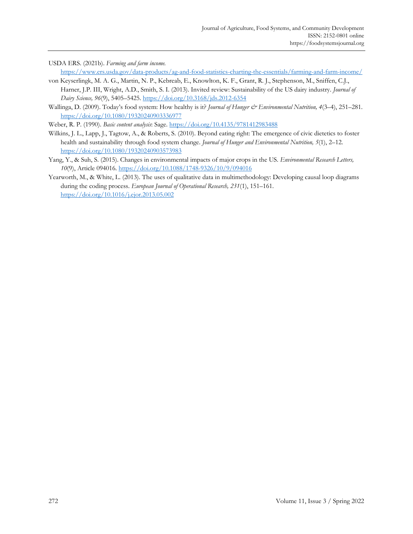USDA ERS. (2021b). *Farming and farm income.*

<https://www.ers.usda.gov/data-products/ag-and-food-statistics-charting-the-essentials/farming-and-farm-income/>

- von Keyserlingk, M. A. G., Martin, N. P., Kebreab, E., Knowlton, K. F., Grant, R. J., Stephenson, M., Sniffen, C.J., Harner, J.P. III, Wright, A.D., Smith, S. I. (2013). Invited review: Sustainability of the US dairy industry. *Journal of Dairy Science, 96*(9), 5405–5425.<https://doi.org/10.3168/jds.2012-6354>
- Wallinga, D. (2009). Today's food system: How healthy is it? *Journal of Hunger & Environmental Nutrition*, 4(3-4), 251-281. <https://doi.org/10.1080/19320240903336977>

Weber, R. P. (1990). *Basic content analysis*: Sage.<https://doi.org/10.4135/9781412983488>

- Wilkins, J. L., Lapp, J., Tagtow, A., & Roberts, S. (2010). Beyond eating right: The emergence of civic dietetics to foster health and sustainability through food system change. *Journal of Hunger and Environmental Nutrition, 5*(1), 2–12. <https://doi.org/10.1080/19320240903573983>
- Yang, Y., & Suh, S. (2015). Changes in environmental impacts of major crops in the US. *Environmental Research Letters, 10*(9), Article 094016.<https://doi.org/10.1088/1748-9326/10/9/094016>
- Yearworth, M., & White, L. (2013). The uses of qualitative data in multimethodology: Developing causal loop diagrams during the coding process. *European Journal of Operational Research, 231*(1), 151–161. <https://doi.org/10.1016/j.ejor.2013.05.002>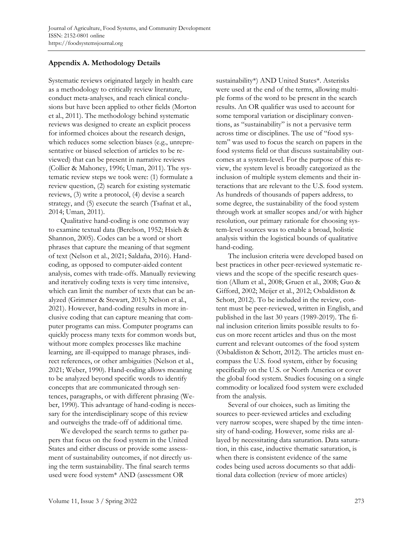# **Appendix A. Methodology Details**

Systematic reviews originated largely in health care as a methodology to critically review literature, conduct meta-analyses, and reach clinical conclusions but have been applied to other fields (Morton et al., 2011). The methodology behind systematic reviews was designed to create an explicit process for informed choices about the research design, which reduces some selection biases (e.g., unrepresentative or biased selection of articles to be reviewed) that can be present in narrative reviews (Collier & Mahoney, 1996; Uman, 2011). The systematic review steps we took were: (1) formulate a review question, (2) search for existing systematic reviews, (3) write a protocol, (4) devise a search strategy, and (5) execute the search (Tsafnat et al., 2014; Uman, 2011).

Qualitative hand-coding is one common way to examine textual data (Berelson, 1952; Hsieh & Shannon, 2005). Codes can be a word or short phrases that capture the meaning of that segment of text (Nelson et al., 2021; Saldaña, 2016). Handcoding, as opposed to computer-aided content analysis, comes with trade-offs. Manually reviewing and iteratively coding texts is very time intensive, which can limit the number of texts that can be analyzed (Grimmer & Stewart, 2013; Nelson et al., 2021). However, hand-coding results in more inclusive coding that can capture meaning that computer programs can miss. Computer programs can quickly process many texts for common words but, without more complex processes like machine learning, are ill-equipped to manage phrases, indirect references, or other ambiguities (Nelson et al., 2021; Weber, 1990). Hand-coding allows meaning to be analyzed beyond specific words to identify concepts that are communicated through sentences, paragraphs, or with different phrasing (Weber, 1990). This advantage of hand-coding is necessary for the interdisciplinary scope of this review and outweighs the trade-off of additional time.

We developed the search terms to gather papers that focus on the food system in the United States and either discuss or provide some assessment of sustainability outcomes, if not directly using the term sustainability. The final search terms used were food system\* AND (assessment OR

sustainability\*) AND United States\*. Asterisks were used at the end of the terms, allowing multiple forms of the word to be present in the search results. An OR qualifier was used to account for some temporal variation or disciplinary conventions, as "sustainability" is not a pervasive term across time or disciplines. The use of "food system" was used to focus the search on papers in the food systems field or that discuss sustainability outcomes at a system-level. For the purpose of this review, the system level is broadly categorized as the inclusion of multiple system elements and their interactions that are relevant to the U.S. food system. As hundreds of thousands of papers address, to some degree, the sustainability of the food system through work at smaller scopes and/or with higher resolution, our primary rationale for choosing system-level sources was to enable a broad, holistic analysis within the logistical bounds of qualitative hand-coding.

The inclusion criteria were developed based on best practices in other peer-reviewed systematic reviews and the scope of the specific research question (Allum et al., 2008; Gruen et al., 2008; Guo & Gifford, 2002; Meijer et al., 2012; Osbaldiston & Schott, 2012). To be included in the review, content must be peer-reviewed, written in English, and published in the last 30 years (1989-2019). The final inclusion criterion limits possible results to focus on more recent articles and thus on the most current and relevant outcomes of the food system (Osbaldiston & Schott, 2012). The articles must encompass the U.S. food system, either by focusing specifically on the U.S. or North America or cover the global food system. Studies focusing on a single commodity or localized food system were excluded from the analysis.

Several of our choices, such as limiting the sources to peer-reviewed articles and excluding very narrow scopes, were shaped by the time intensity of hand-coding. However, some risks are allayed by necessitating data saturation. Data saturation, in this case, inductive thematic saturation, is when there is consistent evidence of the same codes being used across documents so that additional data collection (review of more articles)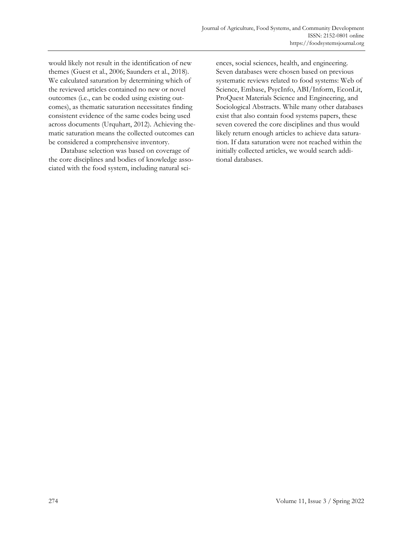would likely not result in the identification of new themes (Guest et al., 2006; Saunders et al., 2018). We calculated saturation by determining which of the reviewed articles contained no new or novel outcomes (i.e., can be coded using existing outcomes), as thematic saturation necessitates finding consistent evidence of the same codes being used across documents (Urquhart, 2012). Achieving thematic saturation means the collected outcomes can be considered a comprehensive inventory.

Database selection was based on coverage of the core disciplines and bodies of knowledge associated with the food system, including natural sciences, social sciences, health, and engineering. Seven databases were chosen based on previous systematic reviews related to food systems: Web of Science, Embase, PsycInfo, ABI/Inform, EconLit, ProQuest Materials Science and Engineering, and Sociological Abstracts. While many other databases exist that also contain food systems papers, these seven covered the core disciplines and thus would likely return enough articles to achieve data saturation. If data saturation were not reached within the initially collected articles, we would search additional databases.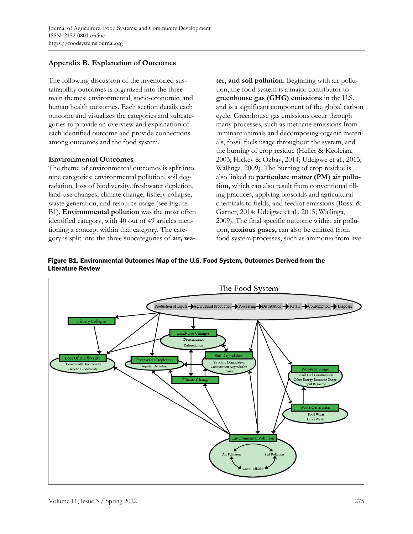# **Appendix B. Explanation of Outcomes**

The following discussion of the inventoried sustainability outcomes is organized into the three main themes: environmental, socio-economic, and human health outcomes. Each section details each outcome and visualizes the categories and subcategories to provide an overview and explanation of each identified outcome and provide connections among outcomes and the food system.

# **Environmental Outcomes**

The theme of environmental outcomes is split into nine categories: environmental pollution, soil degradation, loss of biodiversity, freshwater depletion, land-use changes, climate change, fishery collapse, waste generation, and resource usage (see Figure B1). **Environmental pollution** was the most often identified category, with 40 out of 49 articles mentioning a concept within that category. The category is split into the three subcategories of **air, wa-** **ter, and soil pollution.** Beginning with air pollution, the food system is a major contributor to **greenhouse gas (GHG) emissions** in the U.S. and is a significant component of the global carbon cycle. Greenhouse gas emissions occur through many processes, such as methane emissions from ruminant animals and decomposing organic materials, fossil fuels usage throughout the system, and the burning of crop residue (Heller & Keoleian, 2003; Hickey & Ozbay, 2014; Udeigwe et al., 2015; Wallinga, 2009). The burning of crop residue is also linked to **particulate matter (PM) air pollution,** which can also result from conventional tilling practices, applying biosolids and agricultural chemicals to fields, and feedlot emissions (Rossi & Garner, 2014; Udeigwe et al., 2015; Wallinga, 2009). The final specific outcome within air pollution, **noxious gases,** can also be emitted from food system processes, such as ammonia from live-

Figure B1. Environmental Outcomes Map of the U.S. Food System, Outcomes Derived from the Literature Review

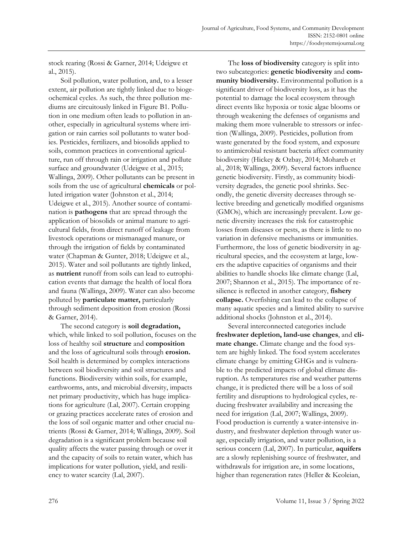stock rearing (Rossi & Garner, 2014; Udeigwe et al., 2015).

Soil pollution, water pollution, and, to a lesser extent, air pollution are tightly linked due to biogeochemical cycles. As such, the three pollution mediums are circuitously linked in Figure B1. Pollution in one medium often leads to pollution in another, especially in agricultural systems where irrigation or rain carries soil pollutants to water bodies. Pesticides, fertilizers, and biosolids applied to soils, common practices in conventional agriculture, run off through rain or irrigation and pollute surface and groundwater (Udeigwe et al., 2015; Wallinga, 2009). Other pollutants can be present in soils from the use of agricultural **chemicals** or polluted irrigation water (Johnston et al., 2014; Udeigwe et al., 2015). Another source of contamination is **pathogens** that are spread through the application of biosolids or animal manure to agricultural fields, from direct runoff of leakage from livestock operations or mismanaged manure, or through the irrigation of fields by contaminated water (Chapman & Gunter, 2018; Udeigwe et al., 2015). Water and soil pollutants are tightly linked, as **nutrient** runoff from soils can lead to eutrophication events that damage the health of local flora and fauna (Wallinga, 2009). Water can also become polluted by **particulate matter,** particularly through sediment deposition from erosion (Rossi & Garner, 2014).

The second category is **soil degradation,** which, while linked to soil pollution, focuses on the loss of healthy soil **structure** and **composition** and the loss of agricultural soils through **erosion.** Soil health is determined by complex interactions between soil biodiversity and soil structures and functions. Biodiversity within soils, for example, earthworms, ants, and microbial diversity, impacts net primary productivity, which has huge implications for agriculture (Lal, 2007). Certain cropping or grazing practices accelerate rates of erosion and the loss of soil organic matter and other crucial nutrients (Rossi & Garner, 2014; Wallinga, 2009). Soil degradation is a significant problem because soil quality affects the water passing through or over it and the capacity of soils to retain water, which has implications for water pollution, yield, and resiliency to water scarcity (Lal, 2007).

The **loss of biodiversity** category is split into two subcategories: **genetic biodiversity** and **community biodiversity.** Environmental pollution is a significant driver of biodiversity loss, as it has the potential to damage the local ecosystem through direct events like hypoxia or toxic algae blooms or through weakening the defenses of organisms and making them more vulnerable to stressors or infection (Wallinga, 2009). Pesticides, pollution from waste generated by the food system, and exposure to antimicrobial resistant bacteria affect community biodiversity (Hickey & Ozbay, 2014; Mohareb et al., 2018; Wallinga, 2009). Several factors influence genetic biodiversity. Firstly, as community biodiversity degrades, the genetic pool shrinks. Secondly, the genetic diversity decreases through selective breeding and genetically modified organisms (GMOs), which are increasingly prevalent. Low genetic diversity increases the risk for catastrophic losses from diseases or pests, as there is little to no variation in defensive mechanisms or immunities. Furthermore, the loss of genetic biodiversity in agricultural species, and the ecosystem at large, lowers the adaptive capacities of organisms and their abilities to handle shocks like climate change (Lal, 2007; Shannon et al., 2015). The importance of resilience is reflected in another category, **fishery collapse.** Overfishing can lead to the collapse of many aquatic species and a limited ability to survive additional shocks (Johnston et al., 2014).

Several interconnected categories include **freshwater depletion, land-use changes**, and **climate change.** Climate change and the food system are highly linked. The food system accelerates climate change by emitting GHGs and is vulnerable to the predicted impacts of global climate disruption. As temperatures rise and weather patterns change, it is predicted there will be a loss of soil fertility and disruptions to hydrological cycles, reducing freshwater availability and increasing the need for irrigation (Lal, 2007; Wallinga, 2009). Food production is currently a water-intensive industry, and freshwater depletion through water usage, especially irrigation, and water pollution, is a serious concern (Lal, 2007). In particular, **aquifers** are a slowly replenishing source of freshwater, and withdrawals for irrigation are, in some locations, higher than regeneration rates (Heller & Keoleian,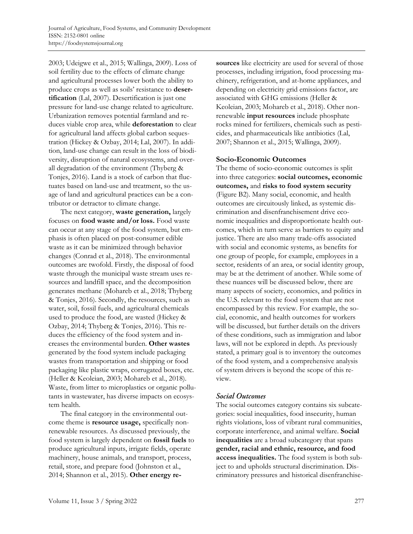2003; Udeigwe et al., 2015; Wallinga, 2009). Loss of soil fertility due to the effects of climate change and agricultural processes lower both the ability to produce crops as well as soils' resistance to **desertification** (Lal, 2007). Desertification is just one pressure for land-use change related to agriculture. Urbanization removes potential farmland and reduces viable crop area, while **deforestation** to clear for agricultural land affects global carbon sequestration (Hickey & Ozbay, 2014; Lal, 2007). In addition, land-use change can result in the loss of biodiversity, disruption of natural ecosystems, and overall degradation of the environment (Thyberg & Tonjes, 2016). Land is a stock of carbon that fluctuates based on land-use and treatment, so the usage of land and agricultural practices can be a contributor or detractor to climate change.

The next category, **waste generation,** largely focuses on **food waste and/or loss.** Food waste can occur at any stage of the food system, but emphasis is often placed on post-consumer edible waste as it can be minimized through behavior changes (Conrad et al., 2018). The environmental outcomes are twofold. Firstly, the disposal of food waste through the municipal waste stream uses resources and landfill space, and the decomposition generates methane (Mohareb et al., 2018; Thyberg & Tonjes, 2016). Secondly, the resources, such as water, soil, fossil fuels, and agricultural chemicals used to produce the food, are wasted (Hickey & Ozbay, 2014; Thyberg & Tonjes, 2016). This reduces the efficiency of the food system and increases the environmental burden. **Other wastes** generated by the food system include packaging wastes from transportation and shipping or food packaging like plastic wraps, corrugated boxes, etc. (Heller & Keoleian, 2003; Mohareb et al., 2018). Waste, from litter to microplastics or organic pollutants in wastewater, has diverse impacts on ecosystem health.

The final category in the environmental outcome theme is **resource usage,** specifically nonrenewable resources. As discussed previously, the food system is largely dependent on **fossil fuels** to produce agricultural inputs, irrigate fields, operate machinery, house animals, and transport, process, retail, store, and prepare food (Johnston et al., 2014; Shannon et al., 2015). **Other energy re-** **sources** like electricity are used for several of those processes, including irrigation, food processing machinery, refrigeration, and at-home appliances, and depending on electricity grid emissions factor, are associated with GHG emissions (Heller & Keoleian, 2003; Mohareb et al., 2018). Other nonrenewable **input resources** include phosphate rocks mined for fertilizers, chemicals such as pesticides, and pharmaceuticals like antibiotics (Lal, 2007; Shannon et al., 2015; Wallinga, 2009).

#### **Socio-Economic Outcomes**

The theme of socio-economic outcomes is split into three categories: **social outcomes, economic outcomes,** and **risks to food system security** (Figure B2). Many social, economic, and health outcomes are circuitously linked, as systemic discrimination and disenfranchisement drive economic inequalities and disproportionate health outcomes, which in turn serve as barriers to equity and justice. There are also many trade-offs associated with social and economic systems, as benefits for one group of people, for example, employees in a sector, residents of an area, or social identity group, may be at the detriment of another. While some of these nuances will be discussed below, there are many aspects of society, economics, and politics in the U.S. relevant to the food system that are not encompassed by this review. For example, the social, economic, and health outcomes for workers will be discussed, but further details on the drivers of these conditions, such as immigration and labor laws, will not be explored in depth. As previously stated, a primary goal is to inventory the outcomes of the food system, and a comprehensive analysis of system drivers is beyond the scope of this review.

### **Social Outcomes**

The social outcomes category contains six subcategories: social inequalities, food insecurity, human rights violations, loss of vibrant rural communities, corporate interference, and animal welfare. **Social inequalities** are a broad subcategory that spans **gender, racial and ethnic, resource, and food access inequalities.** The food system is both subject to and upholds structural discrimination. Discriminatory pressures and historical disenfranchise-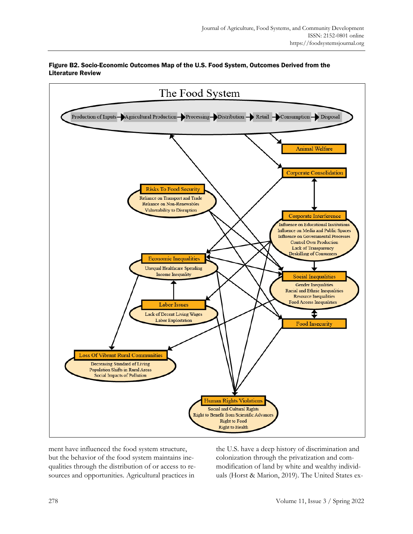

### Figure B2. Socio-Economic Outcomes Map of the U.S. Food System, Outcomes Derived from the Literature Review

ment have influenced the food system structure, but the behavior of the food system maintains inequalities through the distribution of or access to resources and opportunities. Agricultural practices in

the U.S. have a deep history of discrimination and colonization through the privatization and commodification of land by white and wealthy individuals (Horst & Marion, 2019). The United States ex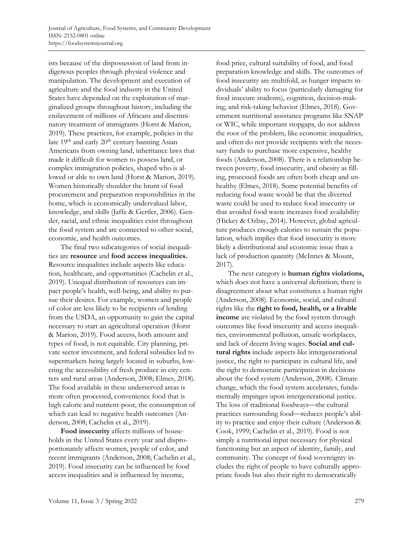ists because of the dispossession of land from indigenous peoples through physical violence and manipulation. The development and execution of agriculture and the food industry in the United States have depended on the exploitation of marginalized groups throughout history, including the enslavement of millions of Africans and discriminatory treatment of immigrants (Horst & Marion, 2019). These practices, for example, policies in the late 19<sup>th</sup> and early 20<sup>th</sup> century banning Asian Americans from owning land, inheritance laws that made it difficult for women to possess land, or complex immigration policies, shaped who is allowed or able to own land (Horst & Marion, 2019). Women historically shoulder the brunt of food procurement and preparation responsibilities in the home, which is economically undervalued labor, knowledge, and skills (Jaffe & Gertler, 2006). Gender, racial, and ethnic inequalities exist throughout the food system and are connected to other social, economic, and health outcomes.

The final two subcategories of social inequalities are **resource** and **food access inequalities.** Resource inequalities include aspects like education, healthcare, and opportunities (Cachelin et al., 2019). Unequal distribution of resources can impact people's health, well-being, and ability to pursue their desires. For example, women and people of color are less likely to be recipients of lending from the USDA, an opportunity to gain the capital necessary to start an agricultural operation (Horst & Marion, 2019). Food access, both amount and types of food, is not equitable. City planning, private sector investment, and federal subsidies led to supermarkets being largely located in suburbs, lowering the accessibility of fresh produce in city centers and rural areas (Anderson, 2008; Elmes, 2018). The food available in these underserved areas is more often processed, convenience food that is high calorie and nutrient-poor, the consumption of which can lead to negative health outcomes (Anderson, 2008; Cachelin et al., 2019).

**Food insecurity** affects millions of households in the United States every year and disproportionately affects women, people of color, and recent immigrants (Anderson, 2008; Cachelin et al., 2019). Food insecurity can be influenced by food access inequalities and is influenced by income,

food price, cultural suitability of food, and food preparation knowledge and skills. The outcomes of food insecurity are multifold, as hunger impacts individuals' ability to focus (particularly damaging for food insecure students), cognition, decision-making, and risk-taking behavior (Elmes, 2018). Government nutritional assistance programs like SNAP or WIC, while important stopgaps, do not address the root of the problem, like economic inequalities, and often do not provide recipients with the necessary funds to purchase more expensive, healthy foods (Anderson, 2008). There is a relationship between poverty, food insecurity, and obesity as filling, processed foods are often both cheap and unhealthy (Elmes, 2018). Some potential benefits of reducing food waste would be that the diverted waste could be used to reduce food insecurity or that avoided food waste increases food availability (Hickey & Ozbay, 2014). However, global agriculture produces enough calories to sustain the population, which implies that food insecurity is more likely a distributional and economic issue than a lack of production quantity (McInnes & Mount, 2017).

The next category is **human rights violations,** which does not have a universal definition; there is disagreement about what constitutes a human right (Anderson, 2008). Economic, social, and cultural rights like the **right to food, health, or a livable income** are violated by the food system through outcomes like food insecurity and access inequalities, environmental pollution, unsafe workplaces, and lack of decent living wages. **Social and cultural rights** include aspects like intergenerational justice, the right to participate in cultural life, and the right to democratic participation in decisions about the food system (Anderson, 2008). Climate change, which the food system accelerates, fundamentally impinges upon intergenerational justice. The loss of traditional foodways—the cultural practices surrounding food—reduces people's ability to practice and enjoy their culture (Anderson & Cook, 1999; Cachelin et al., 2019). Food is not simply a nutritional input necessary for physical functioning but an aspect of identity, family, and community. The concept of food sovereignty includes the right of people to have culturally appropriate foods but also their right to democratically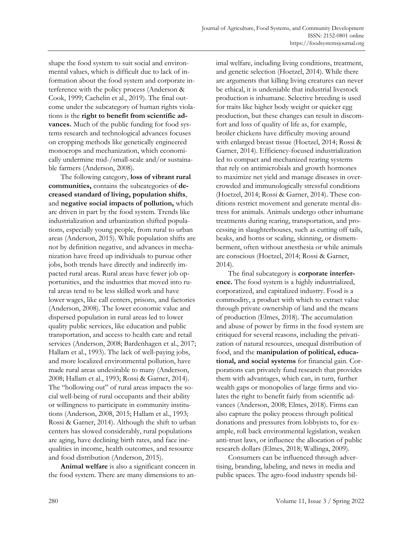shape the food system to suit social and environmental values, which is difficult due to lack of information about the food system and corporate interference with the policy process (Anderson & Cook, 1999; Cachelin et al., 2019). The final outcome under the subcategory of human rights violations is the **right to benefit from scientific advances.** Much of the public funding for food systems research and technological advances focuses on cropping methods like genetically engineered monocrops and mechanization, which economically undermine mid-/small-scale and/or sustainable farmers (Anderson, 2008).

The following category, **loss of vibrant rural communities,** contains the subcategories of **decreased standard of living, population shifts**, and **negative social impacts of pollution,** which are driven in part by the food system. Trends like industrialization and urbanization shifted populations, especially young people, from rural to urban areas (Anderson, 2015). While population shifts are not by definition negative, and advances in mechanization have freed up individuals to pursue other jobs, both trends have directly and indirectly impacted rural areas. Rural areas have fewer job opportunities, and the industries that moved into rural areas tend to be less skilled work and have lower wages, like call centers, prisons, and factories (Anderson, 2008). The lower economic value and dispersed population in rural areas led to lower quality public services, like education and public transportation, and access to health care and retail services (Anderson, 2008; Bardenhagen et al., 2017; Hallam et al., 1993). The lack of well-paying jobs, and more localized environmental pollution, have made rural areas undesirable to many (Anderson, 2008; Hallam et al., 1993; Rossi & Garner, 2014). The "hollowing out" of rural areas impacts the social well-being of rural occupants and their ability or willingness to participate in community institutions (Anderson, 2008, 2015; Hallam et al., 1993; Rossi & Garner, 2014). Although the shift to urban centers has slowed considerably, rural populations are aging, have declining birth rates, and face inequalities in income, health outcomes, and resource and food distribution (Anderson, 2015).

**Animal welfare** is also a significant concern in the food system. There are many dimensions to animal welfare, including living conditions, treatment, and genetic selection (Hoetzel, 2014). While there are arguments that killing living creatures can never be ethical, it is undeniable that industrial livestock production is inhumane. Selective breeding is used for traits like higher body weight or quicker egg production, but these changes can result in discomfort and loss of quality of life as, for example, broiler chickens have difficulty moving around with enlarged breast tissue (Hoetzel, 2014; Rossi & Garner, 2014). Efficiency-focused industrialization led to compact and mechanized rearing systems that rely on antimicrobials and growth hormones to maximize net yield and manage diseases in overcrowded and immunologically stressful conditions (Hoetzel, 2014; Rossi & Garner, 2014). These conditions restrict movement and generate mental distress for animals. Animals undergo other inhumane treatments during rearing, transportation, and processing in slaughterhouses, such as cutting off tails, beaks, and horns or scaling, skinning, or dismemberment, often without anesthesia or while animals are conscious (Hoetzel, 2014; Rossi & Garner, 2014).

The final subcategory is **corporate interference.** The food system is a highly industrialized, corporatized, and capitalized industry. Food is a commodity, a product with which to extract value through private ownership of land and the means of production (Elmes, 2018). The accumulation and abuse of power by firms in the food system are critiqued for several reasons, including the privatization of natural resources, unequal distribution of food, and the **manipulation of political, educational, and social systems** for financial gain. Corporations can privately fund research that provides them with advantages, which can, in turn, further wealth gaps or monopolies of large firms and violates the right to benefit fairly from scientific advances (Anderson, 2008; Elmes, 2018). Firms can also capture the policy process through political donations and pressures from lobbyists to, for example, roll back environmental legislation, weaken anti-trust laws, or influence the allocation of public research dollars (Elmes, 2018; Wallinga, 2009).

Consumers can be influenced through advertising, branding, labeling, and news in media and public spaces. The agro-food industry spends bil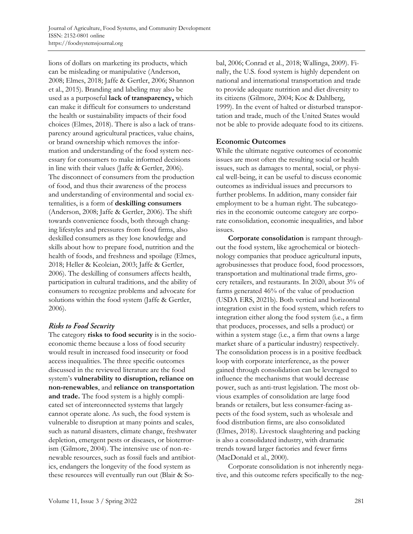lions of dollars on marketing its products, which can be misleading or manipulative (Anderson, 2008; Elmes, 2018; Jaffe & Gertler, 2006; Shannon et al., 2015). Branding and labeling may also be used as a purposeful **lack of transparency,** which can make it difficult for consumers to understand the health or sustainability impacts of their food choices (Elmes, 2018). There is also a lack of transparency around agricultural practices, value chains, or brand ownership which removes the information and understanding of the food system necessary for consumers to make informed decisions in line with their values (Jaffe & Gertler, 2006). The disconnect of consumers from the production of food, and thus their awareness of the process and understanding of environmental and social externalities, is a form of **deskilling consumers** (Anderson, 2008; Jaffe & Gertler, 2006). The shift towards convenience foods, both through changing lifestyles and pressures from food firms, also deskilled consumers as they lose knowledge and skills about how to prepare food, nutrition and the health of foods, and freshness and spoilage (Elmes, 2018; Heller & Keoleian, 2003; Jaffe & Gertler, 2006). The deskilling of consumers affects health, participation in cultural traditions, and the ability of consumers to recognize problems and advocate for solutions within the food system (Jaffe & Gertler, 2006).

## **Risks to Food Security**

The category **risks to food security** is in the socioeconomic theme because a loss of food security would result in increased food insecurity or food access inequalities. The three specific outcomes discussed in the reviewed literature are the food system's **vulnerability to disruption, reliance on non-renewables**, and **reliance on transportation and trade.** The food system is a highly complicated set of interconnected systems that largely cannot operate alone. As such, the food system is vulnerable to disruption at many points and scales, such as natural disasters, climate change, freshwater depletion, emergent pests or diseases, or bioterrorism (Gilmore, 2004). The intensive use of non-renewable resources, such as fossil fuels and antibiotics, endangers the longevity of the food system as these resources will eventually run out (Blair & Sobal, 2006; Conrad et al., 2018; Wallinga, 2009). Finally, the U.S. food system is highly dependent on national and international transportation and trade to provide adequate nutrition and diet diversity to its citizens (Gilmore, 2004; Koc & Dahlberg, 1999). In the event of halted or disturbed transportation and trade, much of the United States would not be able to provide adequate food to its citizens.

### **Economic Outcomes**

While the ultimate negative outcomes of economic issues are most often the resulting social or health issues, such as damages to mental, social, or physical well-being, it can be useful to discuss economic outcomes as individual issues and precursors to further problems. In addition, many consider fair employment to be a human right. The subcategories in the economic outcome category are corporate consolidation, economic inequalities, and labor issues.

**Corporate consolidation** is rampant throughout the food system, like agrochemical or biotechnology companies that produce agricultural inputs, agrobusinesses that produce food, food processors, transportation and multinational trade firms, grocery retailers, and restaurants. In 2020, about 3% of farms generated 46% of the value of production (USDA ERS, 2021b). Both vertical and horizontal integration exist in the food system, which refers to integration either along the food system (i.e., a firm that produces, processes, and sells a product) or within a system stage (i.e., a firm that owns a large market share of a particular industry) respectively. The consolidation process is in a positive feedback loop with corporate interference, as the power gained through consolidation can be leveraged to influence the mechanisms that would decrease power, such as anti-trust legislation. The most obvious examples of consolidation are large food brands or retailers, but less consumer-facing aspects of the food system, such as wholesale and food distribution firms, are also consolidated (Elmes, 2018). Livestock slaughtering and packing is also a consolidated industry, with dramatic trends toward larger factories and fewer firms (MacDonald et al., 2000).

Corporate consolidation is not inherently negative, and this outcome refers specifically to the neg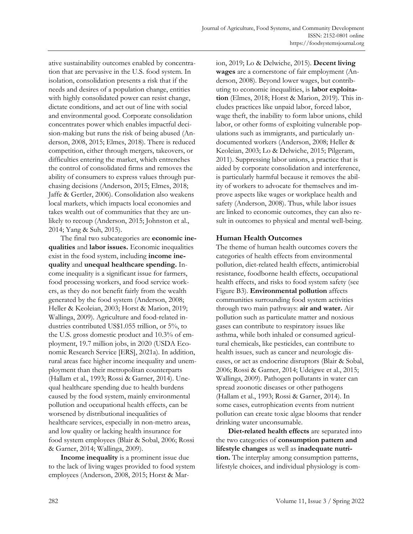ative sustainability outcomes enabled by concentration that are pervasive in the U.S. food system. In isolation, consolidation presents a risk that if the needs and desires of a population change, entities with highly consolidated power can resist change, dictate conditions, and act out of line with social and environmental good. Corporate consolidation concentrates power which enables impactful decision-making but runs the risk of being abused (Anderson, 2008, 2015; Elmes, 2018). There is reduced competition, either through mergers, takeovers, or difficulties entering the market, which entrenches the control of consolidated firms and removes the ability of consumers to express values through purchasing decisions (Anderson, 2015; Elmes, 2018; Jaffe & Gertler, 2006). Consolidation also weakens local markets, which impacts local economies and takes wealth out of communities that they are unlikely to recoup (Anderson, 2015; Johnston et al., 2014; Yang & Suh, 2015).

The final two subcategories are **economic inequalities** and **labor issues.** Economic inequalities exist in the food system, including **income inequality** and **unequal healthcare spending.** Income inequality is a significant issue for farmers, food processing workers, and food service workers, as they do not benefit fairly from the wealth generated by the food system (Anderson, 2008; Heller & Keoleian, 2003; Horst & Marion, 2019; Wallinga, 2009). Agriculture and food-related industries contributed US\$1.055 trillion, or 5%, to the U.S. gross domestic product and 10.3% of employment, 19.7 million jobs, in 2020 (USDA Economic Research Service [ERS], 2021a). In addition, rural areas face higher income inequality and unemployment than their metropolitan counterparts (Hallam et al., 1993; Rossi & Garner, 2014). Unequal healthcare spending due to health burdens caused by the food system, mainly environmental pollution and occupational health effects, can be worsened by distributional inequalities of healthcare services, especially in non-metro areas, and low quality or lacking health insurance for food system employees (Blair & Sobal, 2006; Rossi & Garner, 2014; Wallinga, 2009).

**Income inequality** is a prominent issue due to the lack of living wages provided to food system employees (Anderson, 2008, 2015; Horst & Marion, 2019; Lo & Delwiche, 2015). **Decent living wages** are a cornerstone of fair employment (Anderson, 2008). Beyond lower wages, but contributing to economic inequalities, is **labor exploitation** (Elmes, 2018; Horst & Marion, 2019). This includes practices like unpaid labor, forced labor, wage theft, the inability to form labor unions, child labor, or other forms of exploiting vulnerable populations such as immigrants, and particularly undocumented workers (Anderson, 2008; Heller & Keoleian, 2003; Lo & Delwiche, 2015; Pilgeram, 2011). Suppressing labor unions, a practice that is aided by corporate consolidation and interference, is particularly harmful because it removes the ability of workers to advocate for themselves and improve aspects like wages or workplace health and safety (Anderson, 2008). Thus, while labor issues are linked to economic outcomes, they can also result in outcomes to physical and mental well-being.

### **Human Health Outcomes**

The theme of human health outcomes covers the categories of health effects from environmental pollution, diet-related health effects, antimicrobial resistance, foodborne health effects, occupational health effects, and risks to food system safety (see Figure B3). **Environmental pollution** affects communities surrounding food system activities through two main pathways: **air and water.** Air pollution such as particulate matter and noxious gases can contribute to respiratory issues like asthma, while both inhaled or consumed agricultural chemicals, like pesticides, can contribute to health issues, such as cancer and neurologic diseases, or act as endocrine disruptors (Blair & Sobal, 2006; Rossi & Garner, 2014; Udeigwe et al., 2015; Wallinga, 2009). Pathogen pollutants in water can spread zoonotic diseases or other pathogens (Hallam et al., 1993; Rossi & Garner, 2014). In some cases, eutrophication events from nutrient pollution can create toxic algae blooms that render drinking water unconsumable.

**Diet-related health effects** are separated into the two categories of **consumption pattern and lifestyle changes** as well as **inadequate nutrition.** The interplay among consumption patterns, lifestyle choices, and individual physiology is com-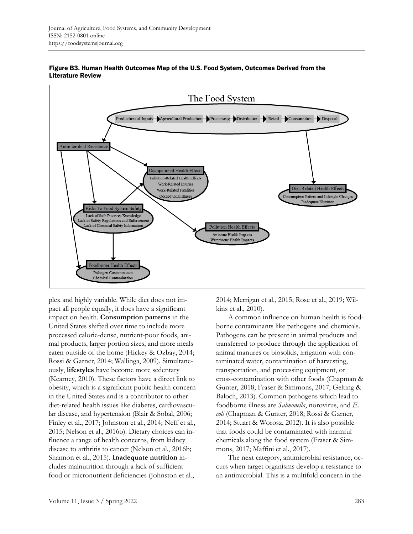



plex and highly variable. While diet does not impact all people equally, it does have a significant impact on health. **Consumption patterns** in the United States shifted over time to include more processed calorie-dense, nutrient-poor foods, animal products, larger portion sizes, and more meals eaten outside of the home (Hickey & Ozbay, 2014; Rossi & Garner, 2014; Wallinga, 2009). Simultaneously, **lifestyles** have become more sedentary (Kearney, 2010). These factors have a direct link to obesity, which is a significant public health concern in the United States and is a contributor to other diet-related health issues like diabetes, cardiovascular disease, and hypertension (Blair & Sobal, 2006; Finley et al., 2017; Johnston et al., 2014; Neff et al., 2015; Nelson et al., 2016b). Dietary choices can influence a range of health concerns, from kidney disease to arthritis to cancer (Nelson et al., 2016b; Shannon et al., 2015). **Inadequate nutrition** includes malnutrition through a lack of sufficient food or micronutrient deficiencies (Johnston et al.,

2014; Merrigan et al., 2015; Rose et al., 2019; Wilkins et al., 2010).

A common influence on human health is foodborne contaminants like pathogens and chemicals. Pathogens can be present in animal products and transferred to produce through the application of animal manures or biosolids, irrigation with contaminated water, contamination of harvesting, transportation, and processing equipment, or cross-contamination with other foods (Chapman & Gunter, 2018; Fraser & Simmons, 2017; Gelting & Baloch, 2013). Common pathogens which lead to foodborne illness are *Salmonella*, norovirus, and *E. coli* (Chapman & Gunter, 2018; Rossi & Garner, 2014; Stuart & Worosz, 2012). It is also possible that foods could be contaminated with harmful chemicals along the food system (Fraser & Simmons, 2017; Maffini et al., 2017).

The next category, antimicrobial resistance, occurs when target organisms develop a resistance to an antimicrobial. This is a multifold concern in the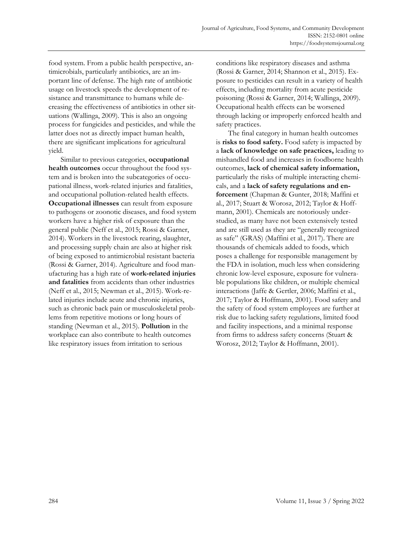food system. From a public health perspective, antimicrobials, particularly antibiotics, are an important line of defense. The high rate of antibiotic usage on livestock speeds the development of resistance and transmittance to humans while decreasing the effectiveness of antibiotics in other situations (Wallinga, 2009). This is also an ongoing process for fungicides and pesticides, and while the latter does not as directly impact human health, there are significant implications for agricultural yield.

Similar to previous categories, **occupational health outcomes** occur throughout the food system and is broken into the subcategories of occupational illness, work-related injuries and fatalities, and occupational pollution-related health effects. **Occupational illnesses** can result from exposure to pathogens or zoonotic diseases, and food system workers have a higher risk of exposure than the general public (Neff et al., 2015; Rossi & Garner, 2014). Workers in the livestock rearing, slaughter, and processing supply chain are also at higher risk of being exposed to antimicrobial resistant bacteria (Rossi & Garner, 2014). Agriculture and food manufacturing has a high rate of **work-related injuries and fatalities** from accidents than other industries (Neff et al., 2015; Newman et al., 2015). Work-related injuries include acute and chronic injuries, such as chronic back pain or musculoskeletal problems from repetitive motions or long hours of standing (Newman et al., 2015). **Pollution** in the workplace can also contribute to health outcomes like respiratory issues from irritation to serious

conditions like respiratory diseases and asthma (Rossi & Garner, 2014; Shannon et al., 2015). Exposure to pesticides can result in a variety of health effects, including mortality from acute pesticide poisoning (Rossi & Garner, 2014; Wallinga, 2009). Occupational health effects can be worsened through lacking or improperly enforced health and safety practices.

The final category in human health outcomes is **risks to food safety.** Food safety is impacted by a **lack of knowledge on safe practices,** leading to mishandled food and increases in foodborne health outcomes, **lack of chemical safety information,**  particularly the risks of multiple interacting chemicals, and a **lack of safety regulations and enforcement** (Chapman & Gunter, 2018; Maffini et al., 2017; Stuart & Worosz, 2012; Taylor & Hoffmann, 2001). Chemicals are notoriously understudied, as many have not been extensively tested and are still used as they are "generally recognized as safe" (GRAS) (Maffini et al., 2017). There are thousands of chemicals added to foods, which poses a challenge for responsible management by the FDA in isolation, much less when considering chronic low-level exposure, exposure for vulnerable populations like children, or multiple chemical interactions (Jaffe & Gertler, 2006; Maffini et al., 2017; Taylor & Hoffmann, 2001). Food safety and the safety of food system employees are further at risk due to lacking safety regulations, limited food and facility inspections, and a minimal response from firms to address safety concerns (Stuart & Worosz, 2012; Taylor & Hoffmann, 2001).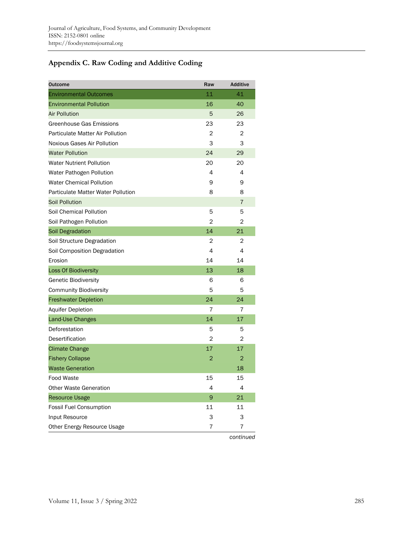# **Appendix C. Raw Coding and Additive Coding**

| Outcome                                   | Raw | <b>Additive</b> |
|-------------------------------------------|-----|-----------------|
| <b>Environmental Outcomes</b>             | 11  | 41              |
| <b>Environmental Pollution</b>            | 16  | 40              |
| <b>Air Pollution</b>                      | 5   | 26              |
| Greenhouse Gas Emissions                  | 23  | 23              |
| <b>Particulate Matter Air Pollution</b>   | 2   | $\overline{2}$  |
| Noxious Gases Air Pollution               | 3   | 3               |
| <b>Water Pollution</b>                    | 24  | 29              |
| <b>Water Nutrient Pollution</b>           | 20  | 20              |
| Water Pathogen Pollution                  | 4   | 4               |
| <b>Water Chemical Pollution</b>           | 9   | 9               |
| <b>Particulate Matter Water Pollution</b> | 8   | 8               |
| <b>Soil Pollution</b>                     |     | 7               |
| Soil Chemical Pollution                   | 5   | 5               |
| Soil Pathogen Pollution                   | 2   | 2               |
| Soil Degradation                          | 14  | 21              |
| Soil Structure Degradation                | 2   | 2               |
| Soil Composition Degradation              | 4   | 4               |
| Erosion                                   | 14  | 14              |
| <b>Loss Of Biodiversity</b>               | 13  | 18              |
| <b>Genetic Biodiversity</b>               | 6   | 6               |
| <b>Community Biodiversity</b>             | 5   | 5               |
| <b>Freshwater Depletion</b>               | 24  | 24              |
| <b>Aquifer Depletion</b>                  | 7   | 7               |
| Land-Use Changes                          | 14  | 17              |
| Deforestation                             | 5   | 5               |
| Desertification                           | 2   | 2               |
| <b>Climate Change</b>                     | 17  | 17              |
| <b>Fishery Collapse</b>                   | 2   | $\overline{2}$  |
| <b>Waste Generation</b>                   |     | 18              |
| Food Waste                                | 15  | 15              |
| <b>Other Waste Generation</b>             | 4   | 4               |
| <b>Resource Usage</b>                     | 9   | 21              |
| <b>Fossil Fuel Consumption</b>            | 11  | 11              |
| Input Resource                            | 3   | 3               |
| Other Energy Resource Usage               | 7   | 7               |
|                                           |     |                 |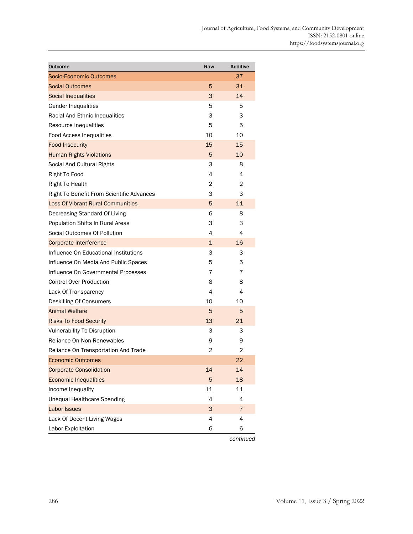| <b>Outcome</b>                                   | Raw | <b>Additive</b> |
|--------------------------------------------------|-----|-----------------|
| Socio-Economic Outcomes                          |     | 37              |
| <b>Social Outcomes</b>                           | 5   | 31              |
| <b>Social Inequalities</b>                       | 3   | 14              |
| <b>Gender Inequalities</b>                       | 5   | 5               |
| Racial And Ethnic Inequalities                   | 3   | 3               |
| Resource Inequalities                            | 5   | 5               |
| <b>Food Access Inequalities</b>                  | 10  | 10              |
| <b>Food Insecurity</b>                           | 15  | 15              |
| <b>Human Rights Violations</b>                   | 5   | 10              |
| Social And Cultural Rights                       | 3   | 8               |
| Right To Food                                    | 4   | 4               |
| Right To Health                                  | 2   | 2               |
| <b>Right To Benefit From Scientific Advances</b> | 3   | 3               |
| <b>Loss Of Vibrant Rural Communities</b>         | 5   | 11              |
| Decreasing Standard Of Living                    | 6   | 8               |
| Population Shifts In Rural Areas                 | 3   | 3               |
| Social Outcomes Of Pollution                     | 4   | 4               |
| <b>Corporate Interference</b>                    | 1   | 16              |
| Influence On Educational Institutions            | 3   | 3               |
| Influence On Media And Public Spaces             | 5   | 5               |
| Influence On Governmental Processes              | 7   | 7               |
| <b>Control Over Production</b>                   | 8   | 8               |
| Lack Of Transparency                             | 4   | 4               |
| Deskilling Of Consumers                          | 10  | 10              |
| <b>Animal Welfare</b>                            | 5   | 5               |
| <b>Risks To Food Security</b>                    | 13  | 21              |
| <b>Vulnerability To Disruption</b>               | 3   | 3               |
| Reliance On Non-Renewables                       | 9   | 9               |
| Reliance On Transportation And Trade             | 2   | 2               |
| <b>Economic Outcomes</b>                         |     | 22              |
| <b>Corporate Consolidation</b>                   | 14  | 14              |
| <b>Economic Inequalities</b>                     | 5   | 18              |
| Income Inequality                                | 11  | 11              |
| <b>Unequal Healthcare Spending</b>               | 4   | 4               |
| <b>Labor Issues</b>                              | 3   | $\overline{7}$  |
| Lack Of Decent Living Wages                      | 4   | 4               |
| Labor Exploitation                               | 6   | 6               |

*continued*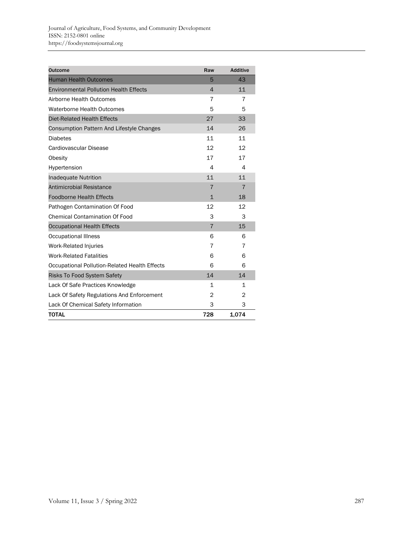| <b>Outcome</b>                                | Raw            | <b>Additive</b> |
|-----------------------------------------------|----------------|-----------------|
| <b>Human Health Outcomes</b>                  | 5              | 43              |
| <b>Environmental Pollution Health Effects</b> | 4              | 11              |
| Airborne Health Outcomes                      | 7              | 7               |
| <b>Waterborne Health Outcomes</b>             | 5              | 5               |
| <b>Diet-Related Health Effects</b>            | 27             | 33              |
| Consumption Pattern And Lifestyle Changes     | 14             | 26              |
| <b>Diabetes</b>                               | 11             | 11              |
| Cardiovascular Disease                        | 12             | 12              |
| Obesity                                       | 17             | 17              |
| Hypertension                                  | 4              | $\overline{4}$  |
| <b>Inadequate Nutrition</b>                   | 11             | 11              |
| <b>Antimicrobial Resistance</b>               | $\overline{7}$ | $\overline{7}$  |
| <b>Foodborne Health Effects</b>               | $\mathbf{1}$   | 18              |
| Pathogen Contamination Of Food                | 12             | 12              |
| <b>Chemical Contamination Of Food</b>         | 3              | 3               |
| <b>Occupational Health Effects</b>            | $\overline{7}$ | 15              |
| <b>Occupational Illness</b>                   | 6              | 6               |
| Work-Related Injuries                         | 7              | 7               |
| <b>Work-Related Fatalities</b>                | 6              | 6               |
| Occupational Pollution-Related Health Effects | 6              | 6               |
| <b>Risks To Food System Safety</b>            | 14             | 14              |
| Lack Of Safe Practices Knowledge              | $\mathbf 1$    | 1               |
| Lack Of Safety Regulations And Enforcement    | 2              | 2               |
| Lack Of Chemical Safety Information           | 3              | 3               |
| <b>TOTAL</b>                                  | 728            | 1,074           |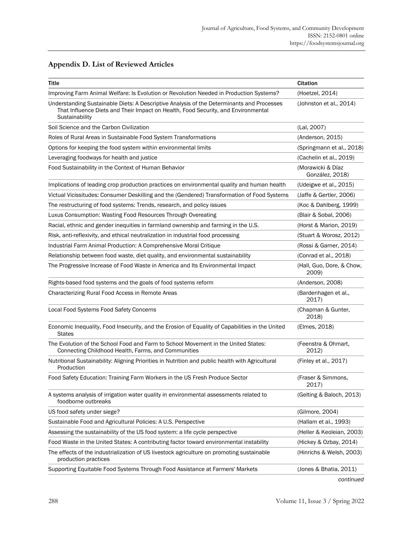|  | <b>Appendix D. List of Reviewed Articles</b> |  |
|--|----------------------------------------------|--|
|--|----------------------------------------------|--|

| Title                                                                                                                                                                                            | <b>Citation</b>                      |
|--------------------------------------------------------------------------------------------------------------------------------------------------------------------------------------------------|--------------------------------------|
| Improving Farm Animal Welfare: Is Evolution or Revolution Needed in Production Systems?                                                                                                          | (Hoetzel, 2014)                      |
| Understanding Sustainable Diets: A Descriptive Analysis of the Determinants and Processes<br>That Influence Diets and Their Impact on Health, Food Security, and Environmental<br>Sustainability | (Johnston et al., 2014)              |
| Soil Science and the Carbon Civilization                                                                                                                                                         | (Lal, 2007)                          |
| Roles of Rural Areas in Sustainable Food System Transformations                                                                                                                                  | (Anderson, 2015)                     |
| Options for keeping the food system within environmental limits                                                                                                                                  | (Springmann et al., 2018)            |
| Leveraging foodways for health and justice                                                                                                                                                       | (Cachelin et al., 2019)              |
| Food Sustainability in the Context of Human Behavior                                                                                                                                             | (Morawicki & Díaz<br>González, 2018) |
| Implications of leading crop production practices on environmental quality and human health                                                                                                      | (Udeigwe et al., 2015)               |
| Victual Vicissitudes: Consumer Deskilling and the (Gendered) Transformation of Food Systems                                                                                                      | (Jaffe & Gertler, 2006)              |
| The restructuring of food systems: Trends, research, and policy issues                                                                                                                           | (Koc & Dahlberg, 1999)               |
| Luxus Consumption: Wasting Food Resources Through Overeating                                                                                                                                     | (Blair & Sobal, 2006)                |
| Racial, ethnic and gender inequities in farmland ownership and farming in the U.S.                                                                                                               | (Horst & Marion, 2019)               |
| Risk, anti-reflexivity, and ethical neutralization in industrial food processing                                                                                                                 | (Stuart & Worosz, 2012)              |
| Industrial Farm Animal Production: A Comprehensive Moral Critique                                                                                                                                | (Rossi & Garner, 2014)               |
| Relationship between food waste, diet quality, and environmental sustainability                                                                                                                  | (Conrad et al., 2018)                |
| The Progressive Increase of Food Waste in America and Its Environmental Impact                                                                                                                   | (Hall, Guo, Dore, & Chow,<br>2009)   |
| Rights-based food systems and the goals of food systems reform                                                                                                                                   | (Anderson, 2008)                     |
| Characterizing Rural Food Access in Remote Areas                                                                                                                                                 | (Bardenhagen et al.,<br>2017)        |
| Local Food Systems Food Safety Concerns                                                                                                                                                          | (Chapman & Gunter,<br>2018)          |
| Economic Inequality, Food Insecurity, and the Erosion of Equality of Capabilities in the United<br><b>States</b>                                                                                 | (Elmes, 2018)                        |
| The Evolution of the School Food and Farm to School Movement in the United States:<br>Connecting Childhood Health, Farms, and Communities                                                        | (Feenstra & Ohmart,<br>2012)         |
| Nutritional Sustainability: Aligning Priorities in Nutrition and public health with Agricultural<br>Production                                                                                   | (Finley et al., 2017)                |
| Food Safety Education: Training Farm Workers in the US Fresh Produce Sector                                                                                                                      | (Fraser & Simmons,<br>2017)          |
| A systems analysis of irrigation water quality in environmental assessments related to<br>foodborne outbreaks                                                                                    | (Gelting & Baloch, 2013)             |
| US food safety under siege?                                                                                                                                                                      | (Gilmore, 2004)                      |
| Sustainable Food and Agricultural Policies: A U.S. Perspective                                                                                                                                   | (Hallam et al., 1993)                |
| Assessing the sustainability of the US food system: a life cycle perspective                                                                                                                     | (Heller & Keoleian, 2003)            |
| Food Waste in the United States: A contributing factor toward environmental instability                                                                                                          | (Hickey & Ozbay, 2014)               |
| The effects of the industrialization of US livestock agriculture on promoting sustainable<br>production practices                                                                                | (Hinrichs & Welsh, 2003)             |
| Supporting Equitable Food Systems Through Food Assistance at Farmers' Markets                                                                                                                    | (Jones & Bhatia, 2011)               |
|                                                                                                                                                                                                  |                                      |

*continued*